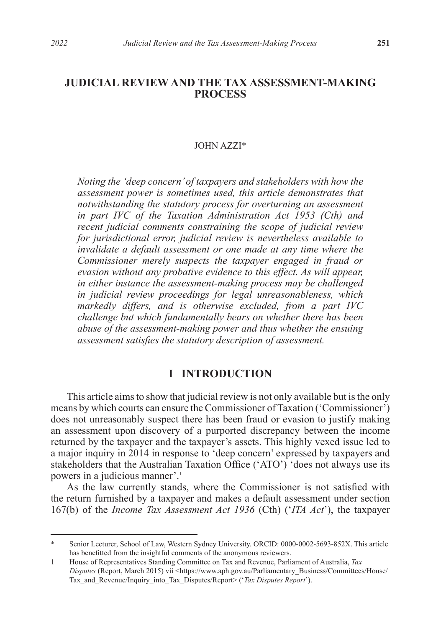## **JUDICIAL REVIEW AND THE TAX ASSESSMENT-MAKING PROCESS**

#### JOHN AZZI\*

*Noting the 'deep concern' of taxpayers and stakeholders with how the assessment power is sometimes used, this article demonstrates that notwithstanding the statutory process for overturning an assessment in part IVC of the Taxation Administration Act 1953 (Cth) and recent judicial comments constraining the scope of judicial review for jurisdictional error, judicial review is nevertheless available to invalidate a default assessment or one made at any time where the Commissioner merely suspects the taxpayer engaged in fraud or evasion without any probative evidence to this effect. As will appear, in either instance the assessment-making process may be challenged in judicial review proceedings for legal unreasonableness, which markedly differs, and is otherwise excluded, from a part IVC challenge but which fundamentally bears on whether there has been abuse of the assessment-making power and thus whether the ensuing assessment satisfies the statutory description of assessment.*

#### **I INTRODUCTION**

This article aims to show that judicial review is not only available but is the only means by which courts can ensure the Commissioner of Taxation ('Commissioner') does not unreasonably suspect there has been fraud or evasion to justify making an assessment upon discovery of a purported discrepancy between the income returned by the taxpayer and the taxpayer's assets. This highly vexed issue led to a major inquiry in 2014 in response to 'deep concern' expressed by taxpayers and stakeholders that the Australian Taxation Office ('ATO') 'does not always use its powers in a judicious manner'.<sup>1</sup>

As the law currently stands, where the Commissioner is not satisfied with the return furnished by a taxpayer and makes a default assessment under section 167(b) of the *Income Tax Assessment Act 1936* (Cth) ('*ITA Act*'), the taxpayer

Senior Lecturer, School of Law, Western Sydney University. ORCID: 0000-0002-5693-852X. This article has benefitted from the insightful comments of the anonymous reviewers.

<sup>1</sup> House of Representatives Standing Committee on Tax and Revenue, Parliament of Australia, *Tax Disputes* (Report, March 2015) vii <https://www.aph.gov.au/Parliamentary\_Business/Committees/House/ Tax\_and\_Revenue/Inquiry\_into\_Tax\_Disputes/Report> ('*Tax Disputes Report*').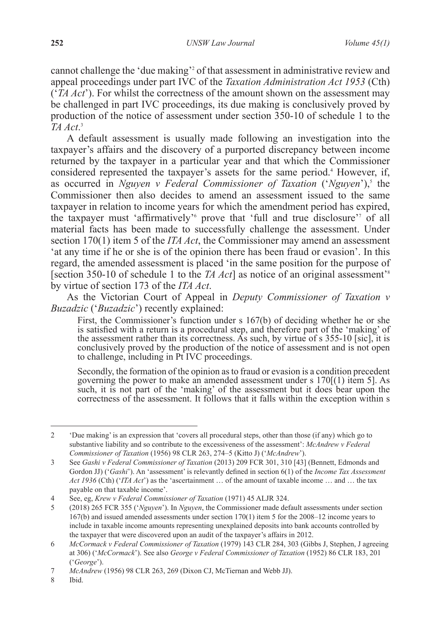cannot challenge the 'due making'2 of that assessment in administrative review and appeal proceedings under part IVC of the *Taxation Administration Act 1953* (Cth) ('*TA Act*'). For whilst the correctness of the amount shown on the assessment may be challenged in part IVC proceedings, its due making is conclusively proved by production of the notice of assessment under section 350-10 of schedule 1 to the *TA Act*. 3

A default assessment is usually made following an investigation into the taxpayer's affairs and the discovery of a purported discrepancy between income returned by the taxpayer in a particular year and that which the Commissioner considered represented the taxpayer's assets for the same period.<sup>4</sup> However, if, as occurred in *Nguyen v Federal Commissioner of Taxation* ('*Nguyen*'),<sup>5</sup> the Commissioner then also decides to amend an assessment issued to the same taxpayer in relation to income years for which the amendment period has expired, the taxpayer must 'affirmatively' prove that 'full and true disclosure' of all material facts has been made to successfully challenge the assessment. Under section 170(1) item 5 of the *ITA Act*, the Commissioner may amend an assessment 'at any time if he or she is of the opinion there has been fraud or evasion'. In this regard, the amended assessment is placed 'in the same position for the purpose of [section 350-10 of schedule 1 to the *TA Act*] as notice of an original assessment<sup>38</sup> by virtue of section 173 of the *ITA Act*.

As the Victorian Court of Appeal in *Deputy Commissioner of Taxation v Buzadzic* ('*Buzadzic*') recently explained:

First, the Commissioner's function under s 167(b) of deciding whether he or she is satisfied with a return is a procedural step, and therefore part of the 'making' of the assessment rather than its correctness. As such, by virtue of s 355-10 [sic], it is conclusively proved by the production of the notice of assessment and is not open to challenge, including in Pt IVC proceedings.

Secondly, the formation of the opinion as to fraud or evasion is a condition precedent governing the power to make an amended assessment under s  $170(1)$  item 5]. As such, it is not part of the 'making' of the assessment but it does bear upon the correctness of the assessment. It follows that it falls within the exception within s

<sup>2</sup> 'Due making' is an expression that 'covers all procedural steps, other than those (if any) which go to substantive liability and so contribute to the excessiveness of the assessment': *McAndrew v Federal Commissioner of Taxation* (1956) 98 CLR 263, 274–5 (Kitto J) ('*McAndrew*').

<sup>3</sup> See *Gashi v Federal Commissioner of Taxation* (2013) 209 FCR 301, 310 [43] (Bennett, Edmonds and Gordon JJ) ('*Gashi*'). An 'assessment' is relevantly defined in section 6(1) of the *Income Tax Assessment Act 1936* (Cth) ('*ITA Act*') as the 'ascertainment … of the amount of taxable income … and … the tax payable on that taxable income'.

<sup>4</sup> See, eg, *Krew v Federal Commissioner of Taxation* (1971) 45 ALJR 324.

<sup>5</sup> (2018) 265 FCR 355 ('*Nguyen*'). In *Nguyen*, the Commissioner made default assessments under section 167(b) and issued amended assessments under section 170(1) item 5 for the 2008–12 income years to include in taxable income amounts representing unexplained deposits into bank accounts controlled by the taxpayer that were discovered upon an audit of the taxpayer's affairs in 2012.

<sup>6</sup> *McCormack v Federal Commissioner of Taxation* (1979) 143 CLR 284, 303 (Gibbs J, Stephen, J agreeing at 306) ('*McCormack*'). See also *George v Federal Commissioner of Taxation* (1952) 86 CLR 183, 201 ('*George*').

<sup>7</sup> *McAndrew* (1956) 98 CLR 263, 269 (Dixon CJ, McTiernan and Webb JJ).

<sup>8</sup> Ibid.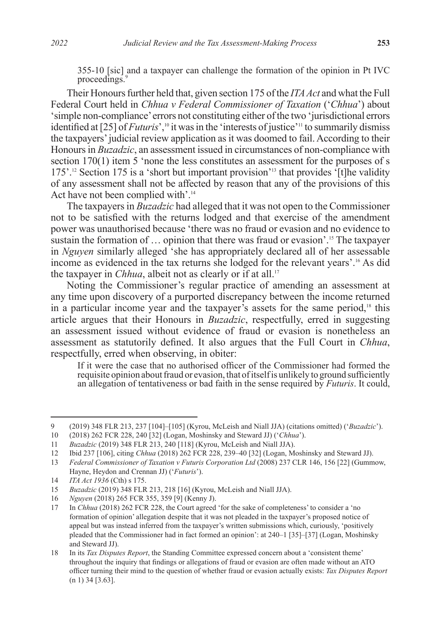355-10 [sic] and a taxpayer can challenge the formation of the opinion in Pt IVC proceedings.<sup>9</sup>

Their Honours further held that, given section 175 of the *ITA Act* and what the Full Federal Court held in *Chhua v Federal Commissioner of Taxation* ('*Chhua*') about 'simple non-compliance' errors not constituting either of the two 'jurisdictional errors identified at [25] of *Futuris*',<sup>10</sup> it was in the 'interests of justice'<sup>11</sup> to summarily dismiss the taxpayers' judicial review application as it was doomed to fail. According to their Honours in *Buzadzic*, an assessment issued in circumstances of non-compliance with section 170(1) item 5 'none the less constitutes an assessment for the purposes of s 175'.12 Section 175 is a 'short but important provision'13 that provides '[t]he validity of any assessment shall not be affected by reason that any of the provisions of this Act have not been complied with'.14

The taxpayers in *Buzadzic* had alleged that it was not open to the Commissioner not to be satisfied with the returns lodged and that exercise of the amendment power was unauthorised because 'there was no fraud or evasion and no evidence to sustain the formation of … opinion that there was fraud or evasion'.15 The taxpayer in *Nguyen* similarly alleged 'she has appropriately declared all of her assessable income as evidenced in the tax returns she lodged for the relevant years'.16 As did the taxpayer in *Chhua*, albeit not as clearly or if at all.<sup>17</sup>

Noting the Commissioner's regular practice of amending an assessment at any time upon discovery of a purported discrepancy between the income returned in a particular income year and the taxpayer's assets for the same period,<sup>18</sup> this article argues that their Honours in *Buzadzic*, respectfully, erred in suggesting an assessment issued without evidence of fraud or evasion is nonetheless an assessment as statutorily defined. It also argues that the Full Court in *Chhua*, respectfully, erred when observing, in obiter:

If it were the case that no authorised officer of the Commissioner had formed the requisite opinion about fraud or evasion, that of itself is unlikely to ground sufficiently an allegation of tentativeness or bad faith in the sense required by *Futuris*. It could,

<sup>9</sup> (2019) 348 FLR 213, 237 [104]–[105] (Kyrou, McLeish and Niall JJA) (citations omitted) ('*Buzadzic*').

<sup>10</sup> (2018) 262 FCR 228, 240 [32] (Logan, Moshinsky and Steward JJ) ('*Chhua*').

<sup>11</sup> *Buzadzic* (2019) 348 FLR 213, 240 [118] (Kyrou, McLeish and Niall JJA).

<sup>12</sup> Ibid 237 [106], citing *Chhua* (2018) 262 FCR 228, 239–40 [32] (Logan, Moshinsky and Steward JJ).

<sup>13</sup> *Federal Commissioner of Taxation v Futuris Corporation Ltd* (2008) 237 CLR 146, 156 [22] (Gummow, Hayne, Heydon and Crennan JJ) ('*Futuris*').

<sup>14</sup> *ITA Act 1936* (Cth) s 175.

<sup>15</sup> *Buzadzic* (2019) 348 FLR 213, 218 [16] (Kyrou, McLeish and Niall JJA).

<sup>16</sup> *Nguyen* (2018) 265 FCR 355, 359 [9] (Kenny J).

<sup>17</sup> In *Chhua* (2018) 262 FCR 228, the Court agreed 'for the sake of completeness' to consider a 'no formation of opinion' allegation despite that it was not pleaded in the taxpayer's proposed notice of appeal but was instead inferred from the taxpayer's written submissions which, curiously, 'positively pleaded that the Commissioner had in fact formed an opinion': at 240–1 [35]–[37] (Logan, Moshinsky and Steward JJ).

<sup>18</sup> In its *Tax Disputes Report*, the Standing Committee expressed concern about a 'consistent theme' throughout the inquiry that findings or allegations of fraud or evasion are often made without an ATO officer turning their mind to the question of whether fraud or evasion actually exists: *Tax Disputes Report* (n 1) 34 [3.63].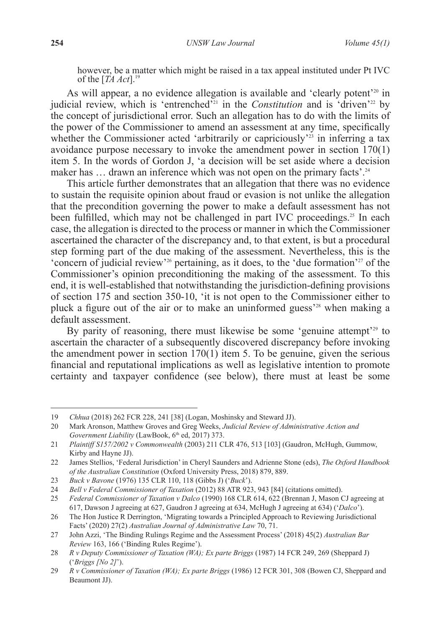however, be a matter which might be raised in a tax appeal instituted under Pt IVC of the [*TA Act*].19

As will appear, a no evidence allegation is available and 'clearly potent'<sup>20</sup> in judicial review, which is 'entrenched'<sup>21</sup> in the *Constitution* and is 'driven'<sup>22</sup> by the concept of jurisdictional error. Such an allegation has to do with the limits of the power of the Commissioner to amend an assessment at any time, specifically whether the Commissioner acted 'arbitrarily or capriciously'<sup>23</sup> in inferring a tax avoidance purpose necessary to invoke the amendment power in section 170(1) item 5. In the words of Gordon J, 'a decision will be set aside where a decision maker has ... drawn an inference which was not open on the primary facts'.<sup>24</sup>

This article further demonstrates that an allegation that there was no evidence to sustain the requisite opinion about fraud or evasion is not unlike the allegation that the precondition governing the power to make a default assessment has not been fulfilled, which may not be challenged in part IVC proceedings.<sup>25</sup> In each case, the allegation is directed to the process or manner in which the Commissioner ascertained the character of the discrepancy and, to that extent, is but a procedural step forming part of the due making of the assessment. Nevertheless, this is the 'concern of judicial review'26 pertaining, as it does, to the 'due formation'27 of the Commissioner's opinion preconditioning the making of the assessment. To this end, it is well-established that notwithstanding the jurisdiction-defining provisions of section 175 and section 350-10, 'it is not open to the Commissioner either to pluck a figure out of the air or to make an uninformed guess'28 when making a default assessment.

By parity of reasoning, there must likewise be some 'genuine attempt'<sup>29</sup> to ascertain the character of a subsequently discovered discrepancy before invoking the amendment power in section  $170(1)$  item 5. To be genuine, given the serious financial and reputational implications as well as legislative intention to promote certainty and taxpayer confidence (see below), there must at least be some

<sup>19</sup> *Chhua* (2018) 262 FCR 228, 241 [38] (Logan, Moshinsky and Steward JJ).

<sup>20</sup> Mark Aronson, Matthew Groves and Greg Weeks, *Judicial Review of Administrative Action and*  Government Liability (LawBook, 6<sup>th</sup> ed, 2017) 373.

<sup>21</sup> *Plaintiff S157/2002 v Commonwealth* (2003) 211 CLR 476, 513 [103] (Gaudron, McHugh, Gummow, Kirby and Hayne JJ).

<sup>22</sup> James Stellios, 'Federal Jurisdiction' in Cheryl Saunders and Adrienne Stone (eds), *The Oxford Handbook of the Australian Constitution* (Oxford University Press, 2018) 879, 889.

<sup>23</sup> *Buck v Bavone* (1976) 135 CLR 110, 118 (Gibbs J) ('*Buck*').

<sup>24</sup> *Bell v Federal Commissioner of Taxation* (2012) 88 ATR 923, 943 [84] (citations omitted).<br>25 *Federal Commissioner of Taxation v Dalco* (1990) 168 CLR 614, 622 (Brennan J. Mason C

<sup>25</sup> *Federal Commissioner of Taxation v Dalco* (1990) 168 CLR 614, 622 (Brennan J, Mason CJ agreeing at 617, Dawson J agreeing at 627, Gaudron J agreeing at 634, McHugh J agreeing at 634) ('*Dalco*').

<sup>26</sup> The Hon Justice R Derrington, 'Migrating towards a Principled Approach to Reviewing Jurisdictional Facts' (2020) 27(2) *Australian Journal of Administrative Law* 70, 71.

<sup>27</sup> John Azzi, 'The Binding Rulings Regime and the Assessment Process' (2018) 45(2) *Australian Bar Review* 163, 166 ('Binding Rules Regime').

<sup>28</sup> *R v Deputy Commissioner of Taxation (WA); Ex parte Briggs* (1987) 14 FCR 249, 269 (Sheppard J) ('*Briggs [No 2]*').

<sup>29</sup> *R v Commissioner of Taxation (WA); Ex parte Briggs* (1986) 12 FCR 301, 308 (Bowen CJ, Sheppard and Beaumont JJ).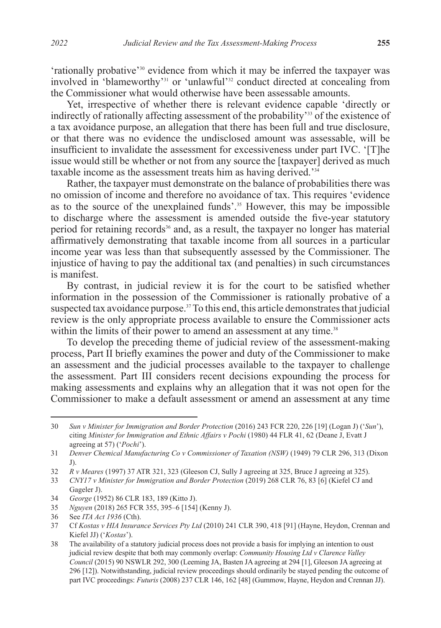'rationally probative'<sup>30</sup> evidence from which it may be inferred the taxpayer was involved in 'blameworthy'31 or 'unlawful'32 conduct directed at concealing from the Commissioner what would otherwise have been assessable amounts.

Yet, irrespective of whether there is relevant evidence capable 'directly or indirectly of rationally affecting assessment of the probability'<sup>33</sup> of the existence of a tax avoidance purpose, an allegation that there has been full and true disclosure, or that there was no evidence the undisclosed amount was assessable, will be insufficient to invalidate the assessment for excessiveness under part IVC. '[T]he issue would still be whether or not from any source the [taxpayer] derived as much taxable income as the assessment treats him as having derived.'34

Rather, the taxpayer must demonstrate on the balance of probabilities there was no omission of income and therefore no avoidance of tax. This requires 'evidence as to the source of the unexplained funds'.<sup>35</sup> However, this may be impossible to discharge where the assessment is amended outside the five-year statutory period for retaining records<sup>36</sup> and, as a result, the taxpayer no longer has material affirmatively demonstrating that taxable income from all sources in a particular income year was less than that subsequently assessed by the Commissioner. The injustice of having to pay the additional tax (and penalties) in such circumstances is manifest.

By contrast, in judicial review it is for the court to be satisfied whether information in the possession of the Commissioner is rationally probative of a suspected tax avoidance purpose.<sup>37</sup> To this end, this article demonstrates that judicial review is the only appropriate process available to ensure the Commissioner acts within the limits of their power to amend an assessment at any time.<sup>38</sup>

To develop the preceding theme of judicial review of the assessment-making process, Part II briefly examines the power and duty of the Commissioner to make an assessment and the judicial processes available to the taxpayer to challenge the assessment. Part III considers recent decisions expounding the process for making assessments and explains why an allegation that it was not open for the Commissioner to make a default assessment or amend an assessment at any time

<sup>30</sup> *Sun v Minister for Immigration and Border Protection* (2016) 243 FCR 220, 226 [19] (Logan J) ('*Sun*'), citing *Minister for Immigration and Ethnic Affairs v Pochi* (1980) 44 FLR 41, 62 (Deane J, Evatt J agreeing at 57) ('*Pochi*').

<sup>31</sup> *Denver Chemical Manufacturing Co v Commissioner of Taxation (NSW)* (1949) 79 CLR 296, 313 (Dixon J).

<sup>32</sup> *R v Meares* (1997) 37 ATR 321, 323 (Gleeson CJ, Sully J agreeing at 325, Bruce J agreeing at 325).

<sup>33</sup> *CNY17 v Minister for Immigration and Border Protection* (2019) 268 CLR 76, 83 [6] (Kiefel CJ and Gageler J).

<sup>34</sup> *George* (1952) 86 CLR 183, 189 (Kitto J).

<sup>35</sup> *Nguyen* (2018) 265 FCR 355, 395–6 [154] (Kenny J).

<sup>36</sup> See *ITA Act 1936* (Cth).

<sup>37</sup> Cf *Kostas v HIA Insurance Services Pty Ltd* (2010) 241 CLR 390, 418 [91] (Hayne, Heydon, Crennan and Kiefel JJ) ('*Kostas*').

<sup>38</sup> The availability of a statutory judicial process does not provide a basis for implying an intention to oust judicial review despite that both may commonly overlap: *Community Housing Ltd v Clarence Valley Council* (2015) 90 NSWLR 292, 300 (Leeming JA, Basten JA agreeing at 294 [1], Gleeson JA agreeing at 296 [12]). Notwithstanding, judicial review proceedings should ordinarily be stayed pending the outcome of part IVC proceedings: *Futuris* (2008) 237 CLR 146, 162 [48] (Gummow, Hayne, Heydon and Crennan JJ).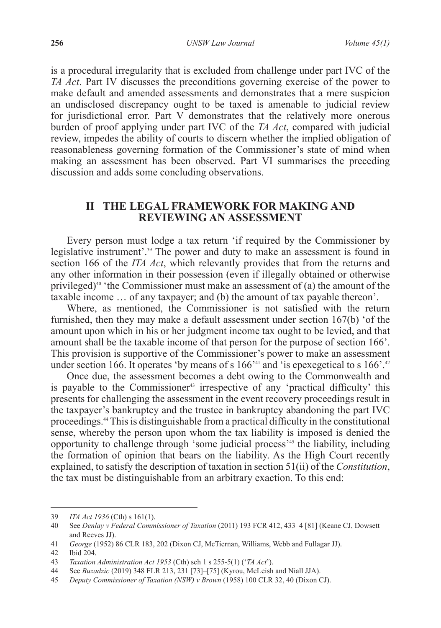is a procedural irregularity that is excluded from challenge under part IVC of the *TA Act*. Part IV discusses the preconditions governing exercise of the power to make default and amended assessments and demonstrates that a mere suspicion an undisclosed discrepancy ought to be taxed is amenable to judicial review for jurisdictional error. Part V demonstrates that the relatively more onerous burden of proof applying under part IVC of the *TA Act*, compared with judicial review, impedes the ability of courts to discern whether the implied obligation of reasonableness governing formation of the Commissioner's state of mind when making an assessment has been observed. Part VI summarises the preceding discussion and adds some concluding observations.

## **II THE LEGAL FRAMEWORK FOR MAKING AND REVIEWING AN ASSESSMENT**

Every person must lodge a tax return 'if required by the Commissioner by legislative instrument'.<sup>39</sup> The power and duty to make an assessment is found in section 166 of the *ITA Act*, which relevantly provides that from the returns and any other information in their possession (even if illegally obtained or otherwise privileged)<sup>40</sup> 'the Commissioner must make an assessment of (a) the amount of the taxable income … of any taxpayer; and (b) the amount of tax payable thereon'.

Where, as mentioned, the Commissioner is not satisfied with the return furnished, then they may make a default assessment under section 167(b) 'of the amount upon which in his or her judgment income tax ought to be levied, and that amount shall be the taxable income of that person for the purpose of section 166'. This provision is supportive of the Commissioner's power to make an assessment under section 166. It operates 'by means of s  $166<sup>241</sup>$  and 'is epexegetical to s  $166<sup>242</sup>$ 

Once due, the assessment becomes a debt owing to the Commonwealth and is payable to the Commissioner<sup>43</sup> irrespective of any 'practical difficulty' this presents for challenging the assessment in the event recovery proceedings result in the taxpayer's bankruptcy and the trustee in bankruptcy abandoning the part IVC proceedings.44 This is distinguishable from a practical difficulty in the constitutional sense, whereby the person upon whom the tax liability is imposed is denied the opportunity to challenge through 'some judicial process'45 the liability, including the formation of opinion that bears on the liability. As the High Court recently explained, to satisfy the description of taxation in section 51(ii) of the *Constitution*, the tax must be distinguishable from an arbitrary exaction. To this end:

<sup>39</sup> *ITA Act 1936* (Cth) s 161(1).

<sup>40</sup> See *Denlay v Federal Commissioner of Taxation* (2011) 193 FCR 412, 433–4 [81] (Keane CJ, Dowsett and Reeves JJ).

<sup>41</sup> *George* (1952) 86 CLR 183, 202 (Dixon CJ, McTiernan, Williams, Webb and Fullagar JJ).

<sup>42</sup> Ibid 204.

<sup>43</sup> *Taxation Administration Act 1953* (Cth) sch 1 s 255-5(1) ('*TA Act*').

<sup>44</sup> See *Buzadzic* (2019) 348 FLR 213, 231 [73]–[75] (Kyrou, McLeish and Niall JJA).

<sup>45</sup> *Deputy Commissioner of Taxation (NSW) v Brown* (1958) 100 CLR 32, 40 (Dixon CJ).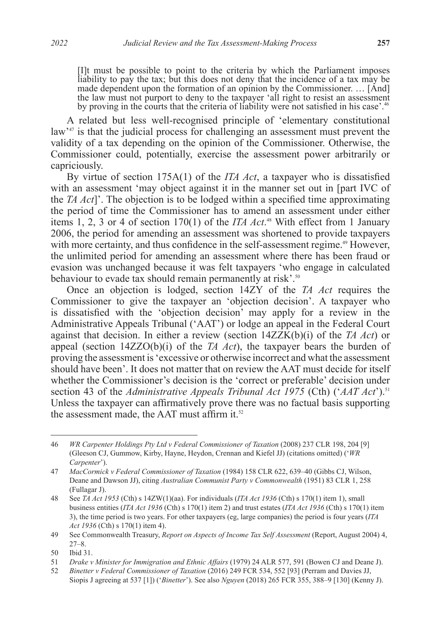[I]t must be possible to point to the criteria by which the Parliament imposes liability to pay the tax; but this does not deny that the incidence of a tax may be made dependent upon the formation of an opinion by the Commissioner. … [And] the law must not purport to deny to the taxpayer 'all right to resist an assessment by proving in the courts that the criteria of liability were not satisfied in his case'.<sup>46</sup>

A related but less well-recognised principle of 'elementary constitutional law<sup>47</sup> is that the judicial process for challenging an assessment must prevent the validity of a tax depending on the opinion of the Commissioner. Otherwise, the Commissioner could, potentially, exercise the assessment power arbitrarily or capriciously.

By virtue of section 175A(1) of the *ITA Act*, a taxpayer who is dissatisfied with an assessment 'may object against it in the manner set out in [part IVC of the *TA Act*]'. The objection is to be lodged within a specified time approximating the period of time the Commissioner has to amend an assessment under either items 1, 2, 3 or 4 of section 170(1) of the *ITA Act*. 48 With effect from 1 January 2006, the period for amending an assessment was shortened to provide taxpayers with more certainty, and thus confidence in the self-assessment regime.<sup>49</sup> However, the unlimited period for amending an assessment where there has been fraud or evasion was unchanged because it was felt taxpayers 'who engage in calculated behaviour to evade tax should remain permanently at risk'.<sup>50</sup>

Once an objection is lodged, section 14ZY of the *TA Act* requires the Commissioner to give the taxpayer an 'objection decision'. A taxpayer who is dissatisfied with the 'objection decision' may apply for a review in the Administrative Appeals Tribunal ('AAT') or lodge an appeal in the Federal Court against that decision. In either a review (section 14ZZK(b)(i) of the *TA Act*) or appeal (section  $14ZZO(b)(i)$  of the *TA Act*), the taxpayer bears the burden of proving the assessment is 'excessive or otherwise incorrect and what the assessment should have been'. It does not matter that on review the AAT must decide for itself whether the Commissioner's decision is the 'correct or preferable' decision under section 43 of the *Administrative Appeals Tribunal Act 1975* (Cth) ('*AAT Act*').51 Unless the taxpayer can affirmatively prove there was no factual basis supporting the assessment made, the AAT must affirm it.<sup>52</sup>

<sup>46</sup> *WR Carpenter Holdings Pty Ltd v Federal Commissioner of Taxation* (2008) 237 CLR 198, 204 [9] (Gleeson CJ, Gummow, Kirby, Hayne, Heydon, Crennan and Kiefel JJ) (citations omitted) ('*WR Carpenter*').

<sup>47</sup> *MacCormick v Federal Commissioner of Taxation* (1984) 158 CLR 622, 639–40 (Gibbs CJ, Wilson, Deane and Dawson JJ), citing *Australian Communist Party v Commonwealth* (1951) 83 CLR 1, 258 (Fullagar J).

<sup>48</sup> See *TA Act 1953* (Cth) s 14ZW(1)(aa). For individuals (*ITA Act 1936* (Cth) s 170(1) item 1), small business entities (*ITA Act 1936* (Cth) s 170(1) item 2) and trust estates (*ITA Act 1936* (Cth) s 170(1) item 3), the time period is two years. For other taxpayers (eg, large companies) the period is four years (*ITA Act 1936* (Cth) s 170(1) item 4).

<sup>49</sup> See Commonwealth Treasury, *Report on Aspects of Income Tax Self Assessment* (Report, August 2004) 4, 27–8.

<sup>50</sup> Ibid 31.

<sup>51</sup> *Drake v Minister for Immigration and Ethnic Affairs* (1979) 24 ALR 577, 591 (Bowen CJ and Deane J).

<sup>52</sup> *Binetter v Federal Commissioner of Taxation* (2016) 249 FCR 534, 552 [93] (Perram and Davies JJ, Siopis J agreeing at 537 [1]) ('*Binetter*'). See also *Nguyen* (2018) 265 FCR 355, 388–9 [130] (Kenny J).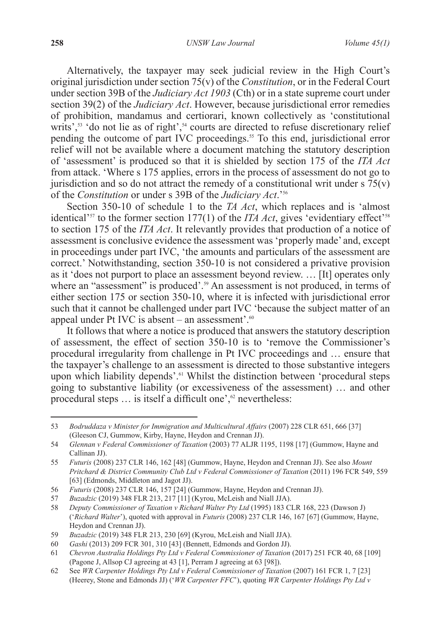Alternatively, the taxpayer may seek judicial review in the High Court's original jurisdiction under section 75(v) of the *Constitution*, or in the Federal Court under section 39B of the *Judiciary Act 1903* (Cth) or in a state supreme court under section 39(2) of the *Judiciary Act*. However, because jurisdictional error remedies of prohibition, mandamus and certiorari, known collectively as 'constitutional writs',<sup>53</sup> 'do not lie as of right',<sup>54</sup> courts are directed to refuse discretionary relief pending the outcome of part IVC proceedings.<sup>55</sup> To this end, jurisdictional error relief will not be available where a document matching the statutory description of 'assessment' is produced so that it is shielded by section 175 of the *ITA Act* from attack. 'Where s 175 applies, errors in the process of assessment do not go to jurisdiction and so do not attract the remedy of a constitutional writ under  $s \frac{75(v)}{v}$ of the *Constitution* or under s 39B of the *Judiciary Act*.'56

Section 350-10 of schedule 1 to the *TA Act*, which replaces and is 'almost identical<sup> $357$ </sup> to the former section 177(1) of the *ITA Act*, gives 'evidentiary effect<sup> $38$ </sup> to section 175 of the *ITA Act*. It relevantly provides that production of a notice of assessment is conclusive evidence the assessment was 'properly made' and, except in proceedings under part IVC, 'the amounts and particulars of the assessment are correct.' Notwithstanding, section 350-10 is not considered a privative provision as it 'does not purport to place an assessment beyond review. … [It] operates only where an "assessment" is produced'.<sup>59</sup> An assessment is not produced, in terms of either section 175 or section 350-10, where it is infected with jurisdictional error such that it cannot be challenged under part IVC 'because the subject matter of an appeal under Pt IVC is absent – an assessment'. $60$ 

It follows that where a notice is produced that answers the statutory description of assessment, the effect of section 350-10 is to 'remove the Commissioner's procedural irregularity from challenge in Pt IVC proceedings and … ensure that the taxpayer's challenge to an assessment is directed to those substantive integers upon which liability depends'.<sup>61</sup> Whilst the distinction between 'procedural steps going to substantive liability (or excessiveness of the assessment) … and other procedural steps  $\ldots$  is itself a difficult one', $\alpha$  nevertheless:

<sup>53</sup> *Bodruddaza v Minister for Immigration and Multicultural Affairs* (2007) 228 CLR 651, 666 [37] (Gleeson CJ, Gummow, Kirby, Hayne, Heydon and Crennan JJ).

<sup>54</sup> *Glennan v Federal Commissioner of Taxation* (2003) 77 ALJR 1195, 1198 [17] (Gummow, Hayne and Callinan JJ).

<sup>55</sup> *Futuris* (2008) 237 CLR 146, 162 [48] (Gummow, Hayne, Heydon and Crennan JJ). See also *Mount Pritchard & District Community Club Ltd v Federal Commissioner of Taxation* (2011) 196 FCR 549, 559 [63] (Edmonds, Middleton and Jagot JJ).

<sup>56</sup> *Futuris* (2008) 237 CLR 146, 157 [24] (Gummow, Hayne, Heydon and Crennan JJ).

<sup>57</sup> *Buzadzic* (2019) 348 FLR 213, 217 [11] (Kyrou, McLeish and Niall JJA).

<sup>58</sup> *Deputy Commissioner of Taxation v Richard Walter Pty Ltd* (1995) 183 CLR 168, 223 (Dawson J) ('*Richard Walter*'), quoted with approval in *Futuris* (2008) 237 CLR 146, 167 [67] (Gummow, Hayne, Heydon and Crennan JJ).

<sup>59</sup> *Buzadzic* (2019) 348 FLR 213, 230 [69] (Kyrou, McLeish and Niall JJA).

<sup>60</sup> *Gashi* (2013) 209 FCR 301, 310 [43] (Bennett, Edmonds and Gordon JJ).

<sup>61</sup> *Chevron Australia Holdings Pty Ltd v Federal Commissioner of Taxation* (2017) 251 FCR 40, 68 [109] (Pagone J, Allsop CJ agreeing at 43 [1], Perram J agreeing at 63 [98]).

<sup>62</sup> See *WR Carpenter Holdings Pty Ltd v Federal Commissioner of Taxation* (2007) 161 FCR 1, 7 [23] (Heerey, Stone and Edmonds JJ) ('*WR Carpenter FFC*'), quoting *WR Carpenter Holdings Pty Ltd v*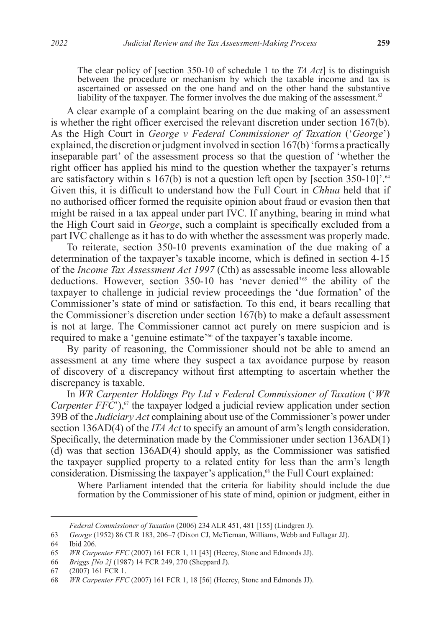The clear policy of [section 350-10 of schedule 1 to the *TA Act*] is to distinguish between the procedure or mechanism by which the taxable income and tax is ascertained or assessed on the one hand and on the other hand the substantive liability of the taxpayer. The former involves the due making of the assessment.<sup>63</sup>

A clear example of a complaint bearing on the due making of an assessment is whether the right officer exercised the relevant discretion under section 167(b). As the High Court in *George v Federal Commissioner of Taxation* ('*George*') explained, the discretion or judgment involved in section 167(b) 'forms a practically inseparable part' of the assessment process so that the question of 'whether the right officer has applied his mind to the question whether the taxpayer's returns are satisfactory within s  $167(b)$  is not a question left open by [section 350-10]'.<sup>64</sup> Given this, it is difficult to understand how the Full Court in *Chhua* held that if no authorised officer formed the requisite opinion about fraud or evasion then that might be raised in a tax appeal under part IVC. If anything, bearing in mind what the High Court said in *George*, such a complaint is specifically excluded from a part IVC challenge as it has to do with whether the assessment was properly made.

To reiterate, section 350-10 prevents examination of the due making of a determination of the taxpayer's taxable income, which is defined in section 4-15 of the *Income Tax Assessment Act 1997* (Cth) as assessable income less allowable deductions. However, section 350-10 has 'never denied'65 the ability of the taxpayer to challenge in judicial review proceedings the 'due formation' of the Commissioner's state of mind or satisfaction. To this end, it bears recalling that the Commissioner's discretion under section 167(b) to make a default assessment is not at large. The Commissioner cannot act purely on mere suspicion and is required to make a 'genuine estimate'<sup>66</sup> of the taxpayer's taxable income.

By parity of reasoning, the Commissioner should not be able to amend an assessment at any time where they suspect a tax avoidance purpose by reason of discovery of a discrepancy without first attempting to ascertain whether the discrepancy is taxable.

In *WR Carpenter Holdings Pty Ltd v Federal Commissioner of Taxation* ('*WR Carpenter*  $FF\ddot{C}$ ),<sup>67</sup> the taxpayer lodged a judicial review application under section 39B of the *Judiciary Act* complaining about use of the Commissioner's power under section 136AD(4) of the *ITA Act* to specify an amount of arm's length consideration. Specifically, the determination made by the Commissioner under section 136AD(1) (d) was that section 136AD(4) should apply, as the Commissioner was satisfied the taxpayer supplied property to a related entity for less than the arm's length consideration. Dismissing the taxpayer's application,<sup>68</sup> the Full Court explained:

Where Parliament intended that the criteria for liability should include the due formation by the Commissioner of his state of mind, opinion or judgment, either in

*Federal Commissioner of Taxation* (2006) 234 ALR 451, 481 [155] (Lindgren J).

<sup>63</sup> *George* (1952) 86 CLR 183, 206–7 (Dixon CJ, McTiernan, Williams, Webb and Fullagar JJ).

<sup>64</sup> Ibid 206.

<sup>65</sup> *WR Carpenter FFC* (2007) 161 FCR 1, 11 [43] (Heerey, Stone and Edmonds JJ).

<sup>66</sup> *Briggs [No 2]* (1987) 14 FCR 249, 270 (Sheppard J).

<sup>67</sup> (2007) 161 FCR 1.

<sup>68</sup> *WR Carpenter FFC* (2007) 161 FCR 1, 18 [56] (Heerey, Stone and Edmonds JJ).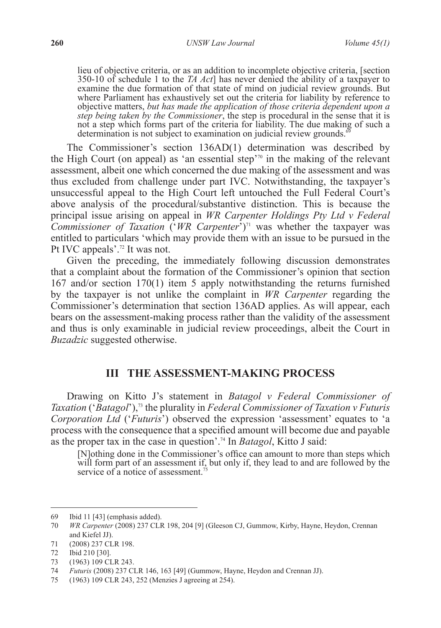lieu of objective criteria, or as an addition to incomplete objective criteria, [section 350-10 of schedule 1 to the *TA Act*] has never denied the ability of a taxpayer to examine the due formation of that state of mind on judicial review grounds. But where Parliament has exhaustively set out the criteria for liability by reference to objective matters, *but has made the application of those criteria dependent upon a step being taken by the Commissioner*, the step is procedural in the sense that it is not a step which forms part of the criteria for liability. The due making of such a determination is not subject to examination on judicial review grounds.<sup>6</sup>

The Commissioner's section 136AD(1) determination was described by the High Court (on appeal) as 'an essential step'<sup>70</sup> in the making of the relevant assessment, albeit one which concerned the due making of the assessment and was thus excluded from challenge under part IVC. Notwithstanding, the taxpayer's unsuccessful appeal to the High Court left untouched the Full Federal Court's above analysis of the procedural/substantive distinction. This is because the principal issue arising on appeal in *WR Carpenter Holdings Pty Ltd v Federal Commissioner of Taxation* ('*WR Carpenter*<sup>'</sup>)<sup>71</sup> was whether the taxpayer was entitled to particulars 'which may provide them with an issue to be pursued in the Pt IVC appeals'.72 It was not.

Given the preceding, the immediately following discussion demonstrates that a complaint about the formation of the Commissioner's opinion that section 167 and/or section 170(1) item 5 apply notwithstanding the returns furnished by the taxpayer is not unlike the complaint in *WR Carpenter* regarding the Commissioner's determination that section 136AD applies. As will appear, each bears on the assessment-making process rather than the validity of the assessment and thus is only examinable in judicial review proceedings, albeit the Court in *Buzadzic* suggested otherwise.

## **III THE ASSESSMENT-MAKING PROCESS**

Drawing on Kitto J's statement in *Batagol v Federal Commissioner of Taxation ('Batagol')*,<sup>73</sup> the plurality in *Federal Commissioner of Taxation v Futuris Corporation Ltd* ('*Futuris*') observed the expression 'assessment' equates to 'a process with the consequence that a specified amount will become due and payable as the proper tax in the case in question'.74 In *Batagol*, Kitto J said:

[N]othing done in the Commissioner's office can amount to more than steps which will form part of an assessment if, but only if, they lead to and are followed by the service of a notice of assessment.<sup>75</sup>

<sup>69</sup> Ibid 11 [43] (emphasis added).

<sup>70</sup> *WR Carpenter* (2008) 237 CLR 198, 204 [9] (Gleeson CJ, Gummow, Kirby, Hayne, Heydon, Crennan and Kiefel JJ).

<sup>71</sup> (2008) 237 CLR 198.

<sup>72</sup> Ibid 210 [30].

<sup>73</sup> (1963) 109 CLR 243.

<sup>74</sup> *Futuris* (2008) 237 CLR 146, 163 [49] (Gummow, Hayne, Heydon and Crennan JJ).

<sup>75</sup> (1963) 109 CLR 243, 252 (Menzies J agreeing at 254).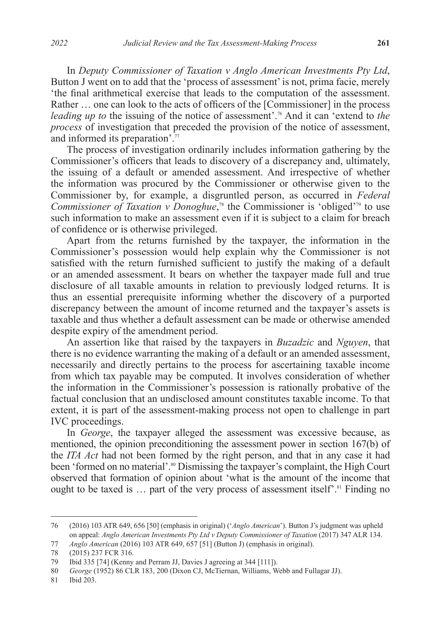In *Deputy Commissioner of Taxation v Anglo American Investments Pty Ltd*, Button J went on to add that the 'process of assessment' is not, prima facie, merely 'the final arithmetical exercise that leads to the computation of the assessment. Rather … one can look to the acts of officers of the [Commissioner] in the process *leading up to* the issuing of the notice of assessment'.<sup>76</sup> And it can 'extend to *the process* of investigation that preceded the provision of the notice of assessment, and informed its preparation'.77

The process of investigation ordinarily includes information gathering by the Commissioner's officers that leads to discovery of a discrepancy and, ultimately, the issuing of a default or amended assessment. And irrespective of whether the information was procured by the Commissioner or otherwise given to the Commissioner by, for example, a disgruntled person, as occurred in *Federal Commissioner of Taxation v Donoghue*,<sup>78</sup> the Commissioner is 'obliged'<sup>79</sup> to use such information to make an assessment even if it is subject to a claim for breach of confidence or is otherwise privileged.

Apart from the returns furnished by the taxpayer, the information in the Commissioner's possession would help explain why the Commissioner is not satisfied with the return furnished sufficient to justify the making of a default or an amended assessment. It bears on whether the taxpayer made full and true disclosure of all taxable amounts in relation to previously lodged returns. It is thus an essential prerequisite informing whether the discovery of a purported discrepancy between the amount of income returned and the taxpayer's assets is taxable and thus whether a default assessment can be made or otherwise amended despite expiry of the amendment period.

An assertion like that raised by the taxpayers in *Buzadzic* and *Nguyen*, that there is no evidence warranting the making of a default or an amended assessment, necessarily and directly pertains to the process for ascertaining taxable income from which tax payable may be computed. It involves consideration of whether the information in the Commissioner's possession is rationally probative of the factual conclusion that an undisclosed amount constitutes taxable income. To that extent, it is part of the assessment-making process not open to challenge in part IVC proceedings.

In *George*, the taxpayer alleged the assessment was excessive because, as mentioned, the opinion preconditioning the assessment power in section 167(b) of the *ITA Act* had not been formed by the right person, and that in any case it had been 'formed on no material'.<sup>80</sup> Dismissing the taxpayer's complaint, the High Court observed that formation of opinion about 'what is the amount of the income that ought to be taxed is  $\ldots$  part of the very process of assessment itself'.<sup>81</sup> Finding no

<sup>76</sup> (2016) 103 ATR 649, 656 [50] (emphasis in original) ('*Anglo American*'). Button J's judgment was upheld on appeal: *Anglo American Investments Pty Ltd v Deputy Commissioner of Taxation* (2017) 347 ALR 134.

<sup>77</sup> *Anglo American* (2016) 103 ATR 649, 657 [51] (Button J) (emphasis in original).

<sup>78</sup> (2015) 237 FCR 316.

<sup>79</sup> Ibid 335 [74] (Kenny and Perram JJ, Davies J agreeing at 344 [111]).

<sup>80</sup> *George* (1952) 86 CLR 183, 200 (Dixon CJ, McTiernan, Williams, Webb and Fullagar JJ).

<sup>81</sup> Ibid 203.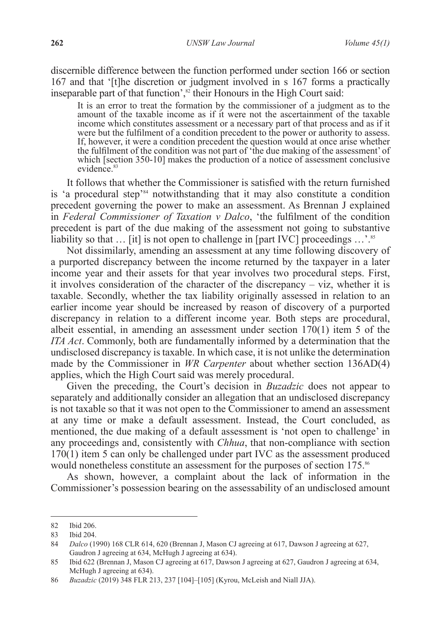discernible difference between the function performed under section 166 or section 167 and that '[t]he discretion or judgment involved in s 167 forms a practically inseparable part of that function', $\frac{82}{3}$  their Honours in the High Court said:

It is an error to treat the formation by the commissioner of a judgment as to the amount of the taxable income as if it were not the ascertainment of the taxable income which constitutes assessment or a necessary part of that process and as if it were but the fulfilment of a condition precedent to the power or authority to assess. If, however, it were a condition precedent the question would at once arise whether the fulfilment of the condition was not part of 'the due making of the assessment' of which [section 350-10] makes the production of a notice of assessment conclusive evidence<sup>83</sup>

It follows that whether the Commissioner is satisfied with the return furnished is 'a procedural step'84 notwithstanding that it may also constitute a condition precedent governing the power to make an assessment. As Brennan J explained in *Federal Commissioner of Taxation v Dalco*, 'the fulfilment of the condition precedent is part of the due making of the assessment not going to substantive liability so that  $\ldots$  [it] is not open to challenge in [part IVC] proceedings  $\ldots$  is

Not dissimilarly, amending an assessment at any time following discovery of a purported discrepancy between the income returned by the taxpayer in a later income year and their assets for that year involves two procedural steps. First, it involves consideration of the character of the discrepancy – viz, whether it is taxable. Secondly, whether the tax liability originally assessed in relation to an earlier income year should be increased by reason of discovery of a purported discrepancy in relation to a different income year. Both steps are procedural, albeit essential, in amending an assessment under section 170(1) item 5 of the *ITA Act*. Commonly, both are fundamentally informed by a determination that the undisclosed discrepancy is taxable. In which case, it is not unlike the determination made by the Commissioner in *WR Carpenter* about whether section 136AD(4) applies, which the High Court said was merely procedural.

Given the preceding, the Court's decision in *Buzadzic* does not appear to separately and additionally consider an allegation that an undisclosed discrepancy is not taxable so that it was not open to the Commissioner to amend an assessment at any time or make a default assessment. Instead, the Court concluded, as mentioned, the due making of a default assessment is 'not open to challenge' in any proceedings and, consistently with *Chhua*, that non-compliance with section  $170(1)$  item 5 can only be challenged under part IVC as the assessment produced would nonetheless constitute an assessment for the purposes of section 175.<sup>86</sup>

As shown, however, a complaint about the lack of information in the Commissioner's possession bearing on the assessability of an undisclosed amount

<sup>82</sup> Ibid 206.

<sup>83</sup> Ibid 204.

<sup>84</sup> *Dalco* (1990) 168 CLR 614, 620 (Brennan J, Mason CJ agreeing at 617, Dawson J agreeing at 627, Gaudron J agreeing at 634, McHugh J agreeing at 634).

<sup>85</sup> Ibid 622 (Brennan J, Mason CJ agreeing at 617, Dawson J agreeing at 627, Gaudron J agreeing at 634, McHugh J agreeing at 634).

<sup>86</sup> *Buzadzic* (2019) 348 FLR 213, 237 [104]–[105] (Kyrou, McLeish and Niall JJA).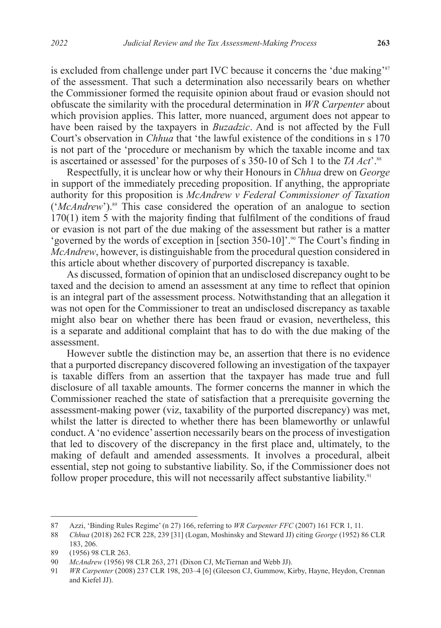is excluded from challenge under part IVC because it concerns the 'due making'<sup>87</sup> of the assessment. That such a determination also necessarily bears on whether the Commissioner formed the requisite opinion about fraud or evasion should not obfuscate the similarity with the procedural determination in *WR Carpenter* about which provision applies. This latter, more nuanced, argument does not appear to have been raised by the taxpayers in *Buzadzic*. And is not affected by the Full Court's observation in *Chhua* that 'the lawful existence of the conditions in s 170 is not part of the 'procedure or mechanism by which the taxable income and tax is ascertained or assessed' for the purposes of s 350-10 of Sch 1 to the *TA Act*'.88

Respectfully, it is unclear how or why their Honours in *Chhua* drew on *George* in support of the immediately preceding proposition. If anything, the appropriate authority for this proposition is *McAndrew v Federal Commissioner of Taxation*  ('*McAndrew*').<sup>89</sup> This case considered the operation of an analogue to section  $170(1)$  item 5 with the majority finding that fulfilment of the conditions of fraud or evasion is not part of the due making of the assessment but rather is a matter 'governed by the words of exception in [section 350-10]'.90 The Court's finding in *McAndrew*, however, is distinguishable from the procedural question considered in this article about whether discovery of purported discrepancy is taxable.

As discussed, formation of opinion that an undisclosed discrepancy ought to be taxed and the decision to amend an assessment at any time to reflect that opinion is an integral part of the assessment process. Notwithstanding that an allegation it was not open for the Commissioner to treat an undisclosed discrepancy as taxable might also bear on whether there has been fraud or evasion, nevertheless, this is a separate and additional complaint that has to do with the due making of the assessment.

However subtle the distinction may be, an assertion that there is no evidence that a purported discrepancy discovered following an investigation of the taxpayer is taxable differs from an assertion that the taxpayer has made true and full disclosure of all taxable amounts. The former concerns the manner in which the Commissioner reached the state of satisfaction that a prerequisite governing the assessment-making power (viz, taxability of the purported discrepancy) was met, whilst the latter is directed to whether there has been blameworthy or unlawful conduct. A 'no evidence' assertion necessarily bears on the process of investigation that led to discovery of the discrepancy in the first place and, ultimately, to the making of default and amended assessments. It involves a procedural, albeit essential, step not going to substantive liability. So, if the Commissioner does not follow proper procedure, this will not necessarily affect substantive liability.<sup>91</sup>

<sup>87</sup> Azzi, 'Binding Rules Regime' (n 27) 166, referring to *WR Carpenter FFC* (2007) 161 FCR 1, 11.

<sup>88</sup> *Chhua* (2018) 262 FCR 228, 239 [31] (Logan, Moshinsky and Steward JJ) citing *George* (1952) 86 CLR 183, 206.

<sup>89</sup> (1956) 98 CLR 263.

<sup>90</sup> *McAndrew* (1956) 98 CLR 263, 271 (Dixon CJ, McTiernan and Webb JJ).

<sup>91</sup> *WR Carpenter* (2008) 237 CLR 198, 203–4 [6] (Gleeson CJ, Gummow, Kirby, Hayne, Heydon, Crennan and Kiefel JJ).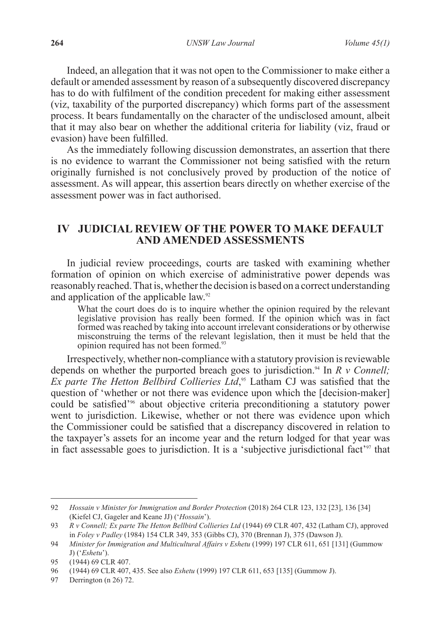Indeed, an allegation that it was not open to the Commissioner to make either a default or amended assessment by reason of a subsequently discovered discrepancy has to do with fulfilment of the condition precedent for making either assessment (viz, taxability of the purported discrepancy) which forms part of the assessment process. It bears fundamentally on the character of the undisclosed amount, albeit that it may also bear on whether the additional criteria for liability (viz, fraud or evasion) have been fulfilled.

As the immediately following discussion demonstrates, an assertion that there is no evidence to warrant the Commissioner not being satisfied with the return originally furnished is not conclusively proved by production of the notice of assessment. As will appear, this assertion bears directly on whether exercise of the assessment power was in fact authorised.

## **IV JUDICIAL REVIEW OF THE POWER TO MAKE DEFAULT AND AMENDED ASSESSMENTS**

In judicial review proceedings, courts are tasked with examining whether formation of opinion on which exercise of administrative power depends was reasonably reached. That is, whether the decision is based on a correct understanding and application of the applicable law.<sup>92</sup>

What the court does do is to inquire whether the opinion required by the relevant legislative provision has really been formed. If the opinion which was in fact formed was reached by taking into account irrelevant considerations or by otherwise misconstruing the terms of the relevant legislation, then it must be held that the opinion required has not been formed.<sup>93</sup>

Irrespectively, whether non-compliance with a statutory provision is reviewable depends on whether the purported breach goes to jurisdiction.<sup>94</sup> In *R v Connell*; *Ex parte The Hetton Bellbird Collieries Ltd*, <sup>95</sup> Latham CJ was satisfied that the question of 'whether or not there was evidence upon which the [decision-maker] could be satisfied<sup>'96</sup> about objective criteria preconditioning a statutory power went to jurisdiction. Likewise, whether or not there was evidence upon which the Commissioner could be satisfied that a discrepancy discovered in relation to the taxpayer's assets for an income year and the return lodged for that year was in fact assessable goes to jurisdiction. It is a 'subjective jurisdictional fact'97 that

<sup>92</sup> *Hossain v Minister for Immigration and Border Protection* (2018) 264 CLR 123, 132 [23], 136 [34] (Kiefel CJ, Gageler and Keane JJ) ('*Hossain*').

<sup>93</sup> *R v Connell; Ex parte The Hetton Bellbird Collieries Ltd* (1944) 69 CLR 407, 432 (Latham CJ), approved in *Foley v Padley* (1984) 154 CLR 349, 353 (Gibbs CJ), 370 (Brennan J), 375 (Dawson J).

<sup>94</sup> *Minister for Immigration and Multicultural Affairs v Eshetu* (1999) 197 CLR 611, 651 [131] (Gummow J) ('*Eshetu*').

<sup>95</sup> (1944) 69 CLR 407.

<sup>96</sup> (1944) 69 CLR 407, 435. See also *Eshetu* (1999) 197 CLR 611, 653 [135] (Gummow J).

<sup>97</sup> Derrington (n 26) 72.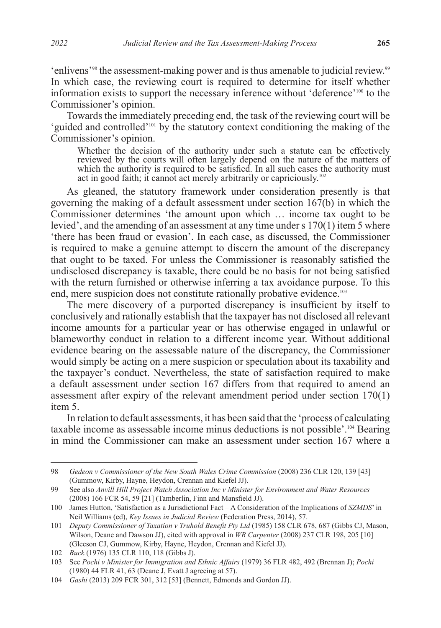'enlivens'98 the assessment-making power and is thus amenable to judicial review.99 In which case, the reviewing court is required to determine for itself whether information exists to support the necessary inference without 'deference'100 to the Commissioner's opinion.

Towards the immediately preceding end, the task of the reviewing court will be 'guided and controlled'101 by the statutory context conditioning the making of the Commissioner's opinion.

Whether the decision of the authority under such a statute can be effectively reviewed by the courts will often largely depend on the nature of the matters of which the authority is required to be satisfied. In all such cases the authority must act in good faith; it cannot act merely arbitrarily or capriciously.<sup>102</sup>

As gleaned, the statutory framework under consideration presently is that governing the making of a default assessment under section  $167(b)$  in which the Commissioner determines 'the amount upon which … income tax ought to be levied', and the amending of an assessment at any time under s 170(1) item 5 where 'there has been fraud or evasion'. In each case, as discussed, the Commissioner is required to make a genuine attempt to discern the amount of the discrepancy that ought to be taxed. For unless the Commissioner is reasonably satisfied the undisclosed discrepancy is taxable, there could be no basis for not being satisfied with the return furnished or otherwise inferring a tax avoidance purpose. To this end, mere suspicion does not constitute rationally probative evidence.<sup>103</sup>

The mere discovery of a purported discrepancy is insufficient by itself to conclusively and rationally establish that the taxpayer has not disclosed all relevant income amounts for a particular year or has otherwise engaged in unlawful or blameworthy conduct in relation to a different income year. Without additional evidence bearing on the assessable nature of the discrepancy, the Commissioner would simply be acting on a mere suspicion or speculation about its taxability and the taxpayer's conduct. Nevertheless, the state of satisfaction required to make a default assessment under section 167 differs from that required to amend an assessment after expiry of the relevant amendment period under section 170(1) item 5.

In relation to default assessments, it has been said that the 'process of calculating taxable income as assessable income minus deductions is not possible'.104 Bearing in mind the Commissioner can make an assessment under section 167 where a

<sup>98</sup> *Gedeon v Commissioner of the New South Wales Crime Commission* (2008) 236 CLR 120, 139 [43] (Gummow, Kirby, Hayne, Heydon, Crennan and Kiefel JJ).

<sup>99</sup> See also *Anvill Hill Project Watch Association Inc v Minister for Environment and Water Resources* (2008) 166 FCR 54, 59 [21] (Tamberlin, Finn and Mansfield JJ).

<sup>100</sup> James Hutton, 'Satisfaction as a Jurisdictional Fact – A Consideration of the Implications of *SZMDS*' in Neil Williams (ed), *Key Issues in Judicial Review* (Federation Press, 2014), 57.

<sup>101</sup> *Deputy Commissioner of Taxation v Truhold Benefit Pty Ltd* (1985) 158 CLR 678, 687 (Gibbs CJ, Mason, Wilson, Deane and Dawson JJ), cited with approval in *WR Carpenter* (2008) 237 CLR 198, 205 [10] (Gleeson CJ, Gummow, Kirby, Hayne, Heydon, Crennan and Kiefel JJ).

<sup>102</sup> *Buck* (1976) 135 CLR 110, 118 (Gibbs J).

<sup>103</sup> See *Pochi v Minister for Immigration and Ethnic Affairs* (1979) 36 FLR 482, 492 (Brennan J); *Pochi* (1980) 44 FLR 41, 63 (Deane J, Evatt J agreeing at 57).

<sup>104</sup> *Gashi* (2013) 209 FCR 301, 312 [53] (Bennett, Edmonds and Gordon JJ).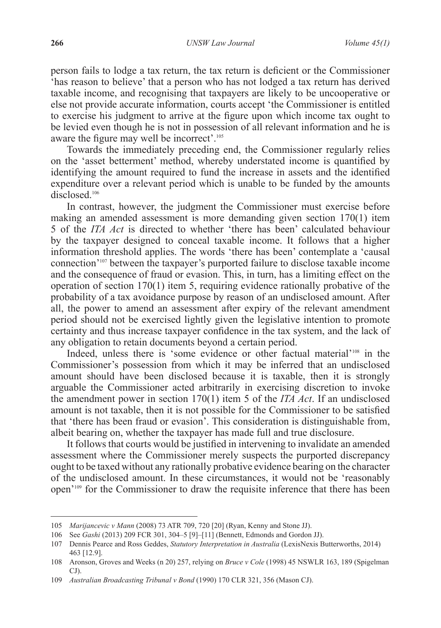person fails to lodge a tax return, the tax return is deficient or the Commissioner 'has reason to believe' that a person who has not lodged a tax return has derived taxable income, and recognising that taxpayers are likely to be uncooperative or else not provide accurate information, courts accept 'the Commissioner is entitled to exercise his judgment to arrive at the figure upon which income tax ought to be levied even though he is not in possession of all relevant information and he is aware the figure may well be incorrect'.<sup>105</sup>

Towards the immediately preceding end, the Commissioner regularly relies on the 'asset betterment' method, whereby understated income is quantified by identifying the amount required to fund the increase in assets and the identified expenditure over a relevant period which is unable to be funded by the amounts disclosed.<sup>106</sup>

In contrast, however, the judgment the Commissioner must exercise before making an amended assessment is more demanding given section 170(1) item 5 of the *ITA Act* is directed to whether 'there has been' calculated behaviour by the taxpayer designed to conceal taxable income. It follows that a higher information threshold applies. The words 'there has been' contemplate a 'causal connection'107 between the taxpayer's purported failure to disclose taxable income and the consequence of fraud or evasion. This, in turn, has a limiting effect on the operation of section 170(1) item 5, requiring evidence rationally probative of the probability of a tax avoidance purpose by reason of an undisclosed amount. After all, the power to amend an assessment after expiry of the relevant amendment period should not be exercised lightly given the legislative intention to promote certainty and thus increase taxpayer confidence in the tax system, and the lack of any obligation to retain documents beyond a certain period.

Indeed, unless there is 'some evidence or other factual material'<sup>108</sup> in the Commissioner's possession from which it may be inferred that an undisclosed amount should have been disclosed because it is taxable, then it is strongly arguable the Commissioner acted arbitrarily in exercising discretion to invoke the amendment power in section 170(1) item 5 of the *ITA Act*. If an undisclosed amount is not taxable, then it is not possible for the Commissioner to be satisfied that 'there has been fraud or evasion'. This consideration is distinguishable from, albeit bearing on, whether the taxpayer has made full and true disclosure.

It follows that courts would be justified in intervening to invalidate an amended assessment where the Commissioner merely suspects the purported discrepancy ought to be taxed without any rationally probative evidence bearing on the character of the undisclosed amount. In these circumstances, it would not be 'reasonably open'109 for the Commissioner to draw the requisite inference that there has been

<sup>105</sup> *Marijancevic v Mann* (2008) 73 ATR 709, 720 [20] (Ryan, Kenny and Stone JJ).

<sup>106</sup> See *Gashi* (2013) 209 FCR 301, 304–5 [9]–[11] (Bennett, Edmonds and Gordon JJ).

<sup>107</sup> Dennis Pearce and Ross Geddes, *Statutory Interpretation in Australia* (LexisNexis Butterworths, 2014) 463 [12.9].

<sup>108</sup> Aronson, Groves and Weeks (n 20) 257, relying on *Bruce v Cole* (1998) 45 NSWLR 163, 189 (Spigelman CJ).

<sup>109</sup> *Australian Broadcasting Tribunal v Bond* (1990) 170 CLR 321, 356 (Mason CJ).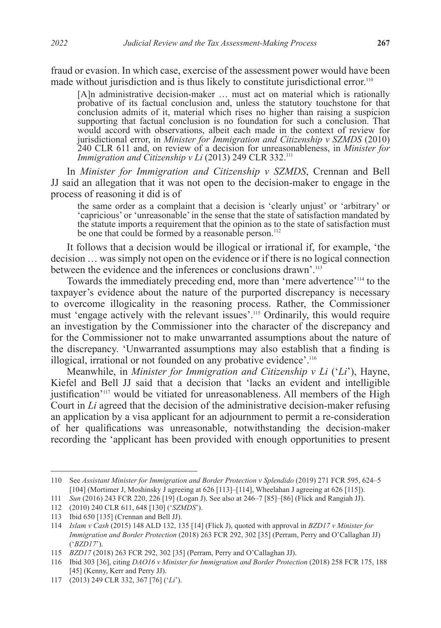fraud or evasion. In which case, exercise of the assessment power would have been made without jurisdiction and is thus likely to constitute jurisdictional error.<sup>110</sup>

[A]n administrative decision-maker … must act on material which is rationally probative of its factual conclusion and, unless the statutory touchstone for that conclusion admits of it, material which rises no higher than raising a suspicion supporting that factual conclusion is no foundation for such a conclusion. That would accord with observations, albeit each made in the context of review for jurisdictional error, in *Minister for Immigration and Citizenship v SZMDS* (2010) 240 CLR 611 and, on review of a decision for unreasonableness, in *Minister for Immigration and Citizenship v Li* (2013) 249 CLR 332.<sup>111</sup>

In *Minister for Immigration and Citizenship v SZMDS*, Crennan and Bell JJ said an allegation that it was not open to the decision-maker to engage in the process of reasoning it did is of

the same order as a complaint that a decision is 'clearly unjust' or 'arbitrary' or 'capricious' or 'unreasonable' in the sense that the state of satisfaction mandated by the statute imports a requirement that the opinion as to the state of satisfaction must be one that could be formed by a reasonable person.<sup>112</sup>

It follows that a decision would be illogical or irrational if, for example, 'the decision … was simply not open on the evidence or if there is no logical connection between the evidence and the inferences or conclusions drawn'.113

Towards the immediately preceding end, more than 'mere advertence'114 to the taxpayer's evidence about the nature of the purported discrepancy is necessary to overcome illogicality in the reasoning process. Rather, the Commissioner must 'engage actively with the relevant issues'.115 Ordinarily, this would require an investigation by the Commissioner into the character of the discrepancy and for the Commissioner not to make unwarranted assumptions about the nature of the discrepancy. 'Unwarranted assumptions may also establish that a finding is illogical, irrational or not founded on any probative evidence'.116

Meanwhile, in *Minister for Immigration and Citizenship v Li* ('*Li*'), Hayne, Kiefel and Bell JJ said that a decision that 'lacks an evident and intelligible justification'<sup>117</sup> would be vitiated for unreasonableness. All members of the High Court in *Li* agreed that the decision of the administrative decision-maker refusing an application by a visa applicant for an adjournment to permit a re-consideration of her qualifications was unreasonable, notwithstanding the decision-maker recording the 'applicant has been provided with enough opportunities to present

<sup>110</sup> See *Assistant Minister for Immigration and Border Protection v Splendido* (2019) 271 FCR 595, 624–5 [104] (Mortimer J, Moshinsky J agreeing at 626 [113]–[114], Wheelahan J agreeing at 626 [115]).

<sup>111</sup> *Sun* (2016) 243 FCR 220, 226 [19] (Logan J). See also at 246–7 [85]–[86] (Flick and Rangiah JJ).

<sup>112</sup> (2010) 240 CLR 611, 648 [130] ('*SZMDS*').

<sup>113</sup> Ibid 650 [135] (Crennan and Bell JJ).

<sup>114</sup> *Islam v Cash* (2015) 148 ALD 132, 135 [14] (Flick J), quoted with approval in *BZD17 v Minister for Immigration and Border Protection* (2018) 263 FCR 292, 302 [35] (Perram, Perry and O'Callaghan JJ) ('*BZD17*').

<sup>115</sup> *BZD17* (2018) 263 FCR 292, 302 [35] (Perram, Perry and O'Callaghan JJ).

<sup>116</sup> Ibid 303 [36], citing *DAO16 v Minister for Immigration and Border Protection* (2018) 258 FCR 175, 188 [45] (Kenny, Kerr and Perry JJ).

<sup>117</sup> (2013) 249 CLR 332, 367 [76] ('*Li*').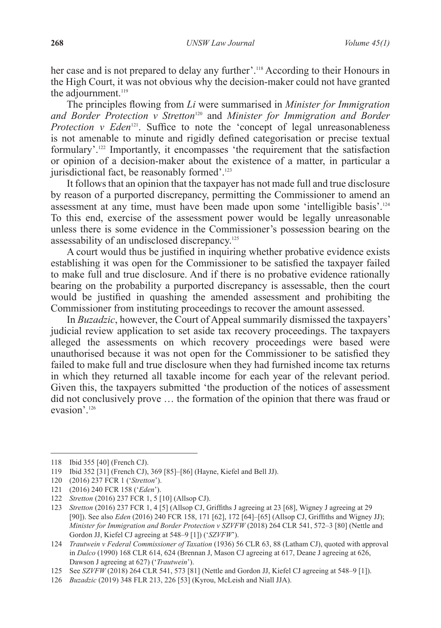her case and is not prepared to delay any further'.<sup>118</sup> According to their Honours in the High Court, it was not obvious why the decision-maker could not have granted the adjournment.<sup>119</sup>

The principles flowing from *Li* were summarised in *Minister for Immigration and Border Protection v Stretton*120 and *Minister for Immigration and Border Protection v Eden*<sup>121</sup>. Suffice to note the 'concept of legal unreasonableness is not amenable to minute and rigidly defined categorisation or precise textual formulary'.122 Importantly, it encompasses 'the requirement that the satisfaction or opinion of a decision-maker about the existence of a matter, in particular a jurisdictional fact, be reasonably formed'.<sup>123</sup>

It follows that an opinion that the taxpayer has not made full and true disclosure by reason of a purported discrepancy, permitting the Commissioner to amend an assessment at any time, must have been made upon some 'intelligible basis'.124 To this end, exercise of the assessment power would be legally unreasonable unless there is some evidence in the Commissioner's possession bearing on the assessability of an undisclosed discrepancy.125

A court would thus be justified in inquiring whether probative evidence exists establishing it was open for the Commissioner to be satisfied the taxpayer failed to make full and true disclosure. And if there is no probative evidence rationally bearing on the probability a purported discrepancy is assessable, then the court would be justified in quashing the amended assessment and prohibiting the Commissioner from instituting proceedings to recover the amount assessed.

In *Buzadzic*, however, the Court of Appeal summarily dismissed the taxpayers' judicial review application to set aside tax recovery proceedings. The taxpayers alleged the assessments on which recovery proceedings were based were unauthorised because it was not open for the Commissioner to be satisfied they failed to make full and true disclosure when they had furnished income tax returns in which they returned all taxable income for each year of the relevant period. Given this, the taxpayers submitted 'the production of the notices of assessment did not conclusively prove … the formation of the opinion that there was fraud or evasion'.<sup>126</sup>

<sup>118</sup> Ibid 355 [40] (French CJ).

<sup>119</sup> Ibid 352 [31] (French CJ), 369 [85]–[86] (Hayne, Kiefel and Bell JJ).

<sup>120</sup> (2016) 237 FCR 1 ('*Stretton*').

<sup>121</sup> (2016) 240 FCR 158 ('*Eden*').

<sup>122</sup> *Stretton* (2016) 237 FCR 1, 5 [10] (Allsop CJ).

<sup>123</sup> *Stretton* (2016) 237 FCR 1, 4 [5] (Allsop CJ, Griffiths J agreeing at 23 [68], Wigney J agreeing at 29 [90]). See also *Eden* (2016) 240 FCR 158, 171 [62], 172 [64]-[65] (Allsop CJ, Griffiths and Wigney JJ); *Minister for Immigration and Border Protection v SZVFW* (2018) 264 CLR 541, 572–3 [80] (Nettle and Gordon JJ, Kiefel CJ agreeing at 548–9 [1]) ('*SZVFW*').

<sup>124</sup> *Trautwein v Federal Commissioner of Taxation* (1936) 56 CLR 63, 88 (Latham CJ), quoted with approval in *Dalco* (1990) 168 CLR 614, 624 (Brennan J, Mason CJ agreeing at 617, Deane J agreeing at 626, Dawson J agreeing at 627) ('*Trautwein*').

<sup>125</sup> See *SZVFW* (2018) 264 CLR 541, 573 [81] (Nettle and Gordon JJ, Kiefel CJ agreeing at 548–9 [1]).

<sup>126</sup> *Buzadzic* (2019) 348 FLR 213, 226 [53] (Kyrou, McLeish and Niall JJA).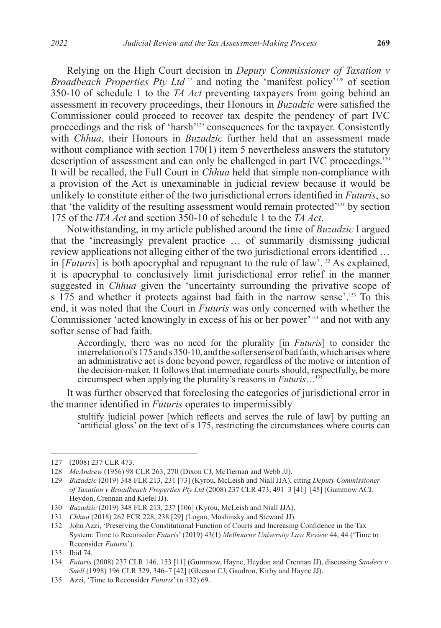Relying on the High Court decision in *Deputy Commissioner of Taxation v Broadbeach Properties Pty Ltd*<sup>127</sup> and noting the 'manifest policy'<sup>128</sup> of section 350-10 of schedule 1 to the *TA Act* preventing taxpayers from going behind an assessment in recovery proceedings, their Honours in *Buzadzic* were satisfied the Commissioner could proceed to recover tax despite the pendency of part IVC proceedings and the risk of 'harsh'129 consequences for the taxpayer. Consistently with *Chhua*, their Honours in *Buzadzic* further held that an assessment made without compliance with section 170(1) item 5 nevertheless answers the statutory description of assessment and can only be challenged in part IVC proceedings.<sup>130</sup> It will be recalled, the Full Court in *Chhua* held that simple non-compliance with a provision of the Act is unexaminable in judicial review because it would be unlikely to constitute either of the two jurisdictional errors identified in *Futuris*, so that 'the validity of the resulting assessment would remain protected'131 by section 175 of the *ITA Act* and section 350-10 of schedule 1 to the *TA Act*.

Notwithstanding, in my article published around the time of *Buzadzic* I argued that the 'increasingly prevalent practice … of summarily dismissing judicial review applications not alleging either of the two jurisdictional errors identified … in [*Futuris*] is both apocryphal and repugnant to the rule of law'.132 As explained, it is apocryphal to conclusively limit jurisdictional error relief in the manner suggested in *Chhua* given the 'uncertainty surrounding the privative scope of s 175 and whether it protects against bad faith in the narrow sense'.<sup>133</sup> To this end, it was noted that the Court in *Futuris* was only concerned with whether the Commissioner 'acted knowingly in excess of his or her power'134 and not with any softer sense of bad faith.

Accordingly, there was no need for the plurality [in *Futuris*] to consider the interrelation of s 175 and s 350-10, and the softer sense of bad faith, which arises where an administrative act is done beyond power, regardless of the motive or intention of the decision-maker. It follows that intermediate courts should, respectfully, be more circumspect when applying the plurality's reasons in *Futuris*…135

It was further observed that foreclosing the categories of jurisdictional error in the manner identified in *Futuris* operates to impermissibly

stultify judicial power [which reflects and serves the rule of law] by putting an 'artificial gloss' on the text of s 175, restricting the circumstances where courts can

<sup>127</sup> (2008) 237 CLR 473.

<sup>128</sup> *McAndrew* (1956) 98 CLR 263, 270 (Dixon CJ, McTiernan and Webb JJ).

<sup>129</sup> *Buzadzic* (2019) 348 FLR 213, 231 [73] (Kyrou, McLeish and Niall JJA), citing *Deputy Commissioner of Taxation v Broadbeach Properties Pty Ltd* (2008) 237 CLR 473, 491–3 [41]–[45] (Gummow ACJ, Heydon, Crennan and Kiefel JJ).

<sup>130</sup> *Buzadzic* (2019) 348 FLR 213, 237 [106] (Kyrou, McLeish and Niall JJA).

<sup>131</sup> *Chhua* (2018) 262 FCR 228, 238 [29] (Logan, Moshinsky and Steward JJ).

<sup>132</sup> John Azzi, 'Preserving the Constitutional Function of Courts and Increasing Confidence in the Tax System: Time to Reconsider *Futuris*' (2019) 43(1) *Melbourne University Law Review* 44, 44 ('Time to Reconsider *Futuris*').

<sup>133</sup> Ibid 74.

<sup>134</sup> *Futuris* (2008) 237 CLR 146, 153 [11] (Gummow, Hayne, Heydon and Crennan JJ), discussing *Sanders v Snell* (1998) 196 CLR 329, 346–7 [42] (Gleeson CJ, Gaudron, Kirby and Hayne JJ).

<sup>135</sup> Azzi, 'Time to Reconsider *Futuris*' (n 132) 69.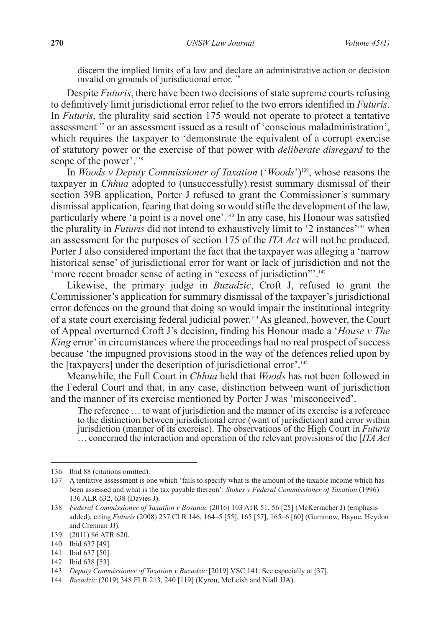discern the implied limits of a law and declare an administrative action or decision invalid on grounds of jurisdictional error.<sup>136</sup>

Despite *Futuris*, there have been two decisions of state supreme courts refusing to definitively limit jurisdictional error relief to the two errors identified in *Futuris*. In *Futuris*, the plurality said section 175 would not operate to protect a tentative assessment<sup>137</sup> or an assessment issued as a result of 'conscious maladministration', which requires the taxpayer to 'demonstrate the equivalent of a corrupt exercise of statutory power or the exercise of that power with *deliberate disregard* to the scope of the power'.<sup>138</sup>

In *Woods v Deputy Commissioner of Taxation* ('*Woods*')139, whose reasons the taxpayer in *Chhua* adopted to (unsuccessfully) resist summary dismissal of their section 39B application, Porter J refused to grant the Commissioner's summary dismissal application, fearing that doing so would stifle the development of the law, particularly where 'a point is a novel one'.140 In any case, his Honour was satisfied the plurality in *Futuris* did not intend to exhaustively limit to '2 instances'141 when an assessment for the purposes of section 175 of the *ITA Act* will not be produced. Porter J also considered important the fact that the taxpayer was alleging a 'narrow historical sense' of jurisdictional error for want or lack of jurisdiction and not the 'more recent broader sense of acting in "excess of jurisdiction"'.142

Likewise, the primary judge in *Buzadzic*, Croft J, refused to grant the Commissioner's application for summary dismissal of the taxpayer's jurisdictional error defences on the ground that doing so would impair the institutional integrity of a state court exercising federal judicial power.143 As gleaned, however, the Court of Appeal overturned Croft J's decision, finding his Honour made a '*House v The King* error' in circumstances where the proceedings had no real prospect of success because 'the impugned provisions stood in the way of the defences relied upon by the [taxpayers] under the description of jurisdictional error'.144

Meanwhile, the Full Court in *Chhua* held that *Woods* has not been followed in the Federal Court and that, in any case, distinction between want of jurisdiction and the manner of its exercise mentioned by Porter J was 'misconceived'.

The reference … to want of jurisdiction and the manner of its exercise is a reference to the distinction between jurisdictional error (want of jurisdiction) and error within jurisdiction (manner of its exercise). The observations of the High Court in *Futuris* … concerned the interaction and operation of the relevant provisions of the [*ITA Act* 

<sup>136</sup> Ibid 88 (citations omitted).

<sup>137</sup> A tentative assessment is one which 'fails to specify what is the amount of the taxable income which has been assessed and what is the tax payable thereon': *Stokes v Federal Commissioner of Taxation* (1996) 136 ALR 632, 638 (Davies J).

<sup>138</sup> *Federal Commissioner of Taxation v Bosanac* (2016) 103 ATR 51, 56 [25] (McKerracher J) (emphasis added), citing *Futuris* (2008) 237 CLR 146, 164–5 [55], 165 [57], 165–6 [60] (Gummow, Hayne, Heydon and Crennan JJ).

<sup>139</sup> (2011) 86 ATR 620.

<sup>140</sup> Ibid 637 [49].

<sup>141</sup> Ibid 637 [50].

<sup>142</sup> Ibid 638 [53].

<sup>143</sup> *Deputy Commissioner of Taxation v Buzadzic* [2019] VSC 141. See especially at [37].

<sup>144</sup> *Buzadzic* (2019) 348 FLR 213, 240 [119] (Kyrou, McLeish and Niall JJA).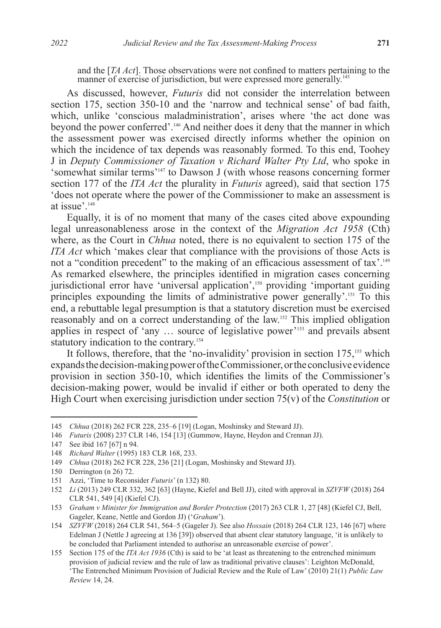and the [*TA Act*]. Those observations were not confined to matters pertaining to the manner of exercise of jurisdiction, but were expressed more generally.<sup>145</sup>

As discussed, however, *Futuris* did not consider the interrelation between section 175, section 350-10 and the 'narrow and technical sense' of bad faith, which, unlike 'conscious maladministration', arises where 'the act done was beyond the power conferred'.146 And neither does it deny that the manner in which the assessment power was exercised directly informs whether the opinion on which the incidence of tax depends was reasonably formed. To this end, Toohey J in *Deputy Commissioner of Taxation v Richard Walter Pty Ltd*, who spoke in 'somewhat similar terms'147 to Dawson J (with whose reasons concerning former section 177 of the *ITA Act* the plurality in *Futuris* agreed), said that section 175 'does not operate where the power of the Commissioner to make an assessment is at issue'.<sup>148</sup>

Equally, it is of no moment that many of the cases cited above expounding legal unreasonableness arose in the context of the *Migration Act 1958* (Cth) where, as the Court in *Chhua* noted, there is no equivalent to section 175 of the *ITA Act* which 'makes clear that compliance with the provisions of those Acts is not a "condition precedent" to the making of an efficacious assessment of tax'.<sup>149</sup> As remarked elsewhere, the principles identified in migration cases concerning jurisdictional error have 'universal application',150 providing 'important guiding principles expounding the limits of administrative power generally'.151 To this end, a rebuttable legal presumption is that a statutory discretion must be exercised reasonably and on a correct understanding of the law.152 This implied obligation applies in respect of 'any … source of legislative power'153 and prevails absent statutory indication to the contrary.<sup>154</sup>

It follows, therefore, that the 'no-invalidity' provision in section 175,<sup>155</sup> which expands the decision-making power of the Commissioner, or the conclusive evidence provision in section 350-10, which identifies the limits of the Commissioner's decision-making power, would be invalid if either or both operated to deny the High Court when exercising jurisdiction under section 75(v) of the *Constitution* or

<sup>145</sup> *Chhua* (2018) 262 FCR 228, 235–6 [19] (Logan, Moshinsky and Steward JJ).

<sup>146</sup> *Futuris* (2008) 237 CLR 146, 154 [13] (Gummow, Hayne, Heydon and Crennan JJ).

<sup>147</sup> See ibid 167 [67] n 94.

<sup>148</sup> *Richard Walter* (1995) 183 CLR 168, 233.

<sup>149</sup> *Chhua* (2018) 262 FCR 228, 236 [21] (Logan, Moshinsky and Steward JJ).

<sup>150</sup> Derrington (n 26) 72.

<sup>151</sup> Azzi, 'Time to Reconsider *Futuris*' (n 132) 80.

<sup>152</sup> *Li* (2013) 249 CLR 332, 362 [63] (Hayne, Kiefel and Bell JJ), cited with approval in *SZVFW* (2018) 264 CLR 541, 549 [4] (Kiefel CJ).

<sup>153</sup> *Graham v Minister for Immigration and Border Protection* (2017) 263 CLR 1, 27 [48] (Kiefel CJ, Bell, Gageler, Keane, Nettle and Gordon JJ) ('*Graham*').

<sup>154</sup> *SZVFW* (2018) 264 CLR 541, 564–5 (Gageler J). See also *Hossain* (2018) 264 CLR 123, 146 [67] where Edelman J (Nettle J agreeing at 136 [39]) observed that absent clear statutory language, 'it is unlikely to be concluded that Parliament intended to authorise an unreasonable exercise of power'.

<sup>155</sup> Section 175 of the *ITA Act 1936* (Cth) is said to be 'at least as threatening to the entrenched minimum provision of judicial review and the rule of law as traditional privative clauses': Leighton McDonald, 'The Entrenched Minimum Provision of Judicial Review and the Rule of Law' (2010) 21(1) *Public Law Review* 14, 24.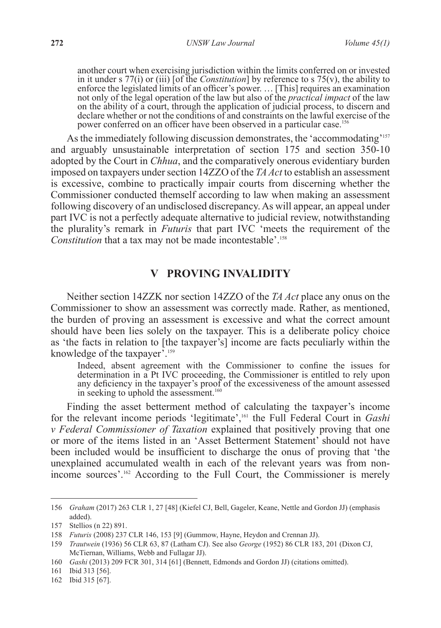another court when exercising jurisdiction within the limits conferred on or invested in it under s 77(i) or (iii) [of the *Constitution*] by reference to s 75(v), the ability to enforce the legislated limits of an officer's power. … [This] requires an examination not only of the legal operation of the law but also of the *practical impact* of the law on the ability of a court, through the application of judicial process, to discern and declare whether or not the conditions of and constraints on the lawful exercise of the power conferred on an officer have been observed in a particular case.<sup>156</sup>

As the immediately following discussion demonstrates, the 'accommodating'<sup>157</sup> and arguably unsustainable interpretation of section 175 and section 350-10 adopted by the Court in *Chhua*, and the comparatively onerous evidentiary burden imposed on taxpayers under section 14ZZO of the *TA Act* to establish an assessment is excessive, combine to practically impair courts from discerning whether the Commissioner conducted themself according to law when making an assessment following discovery of an undisclosed discrepancy. As will appear, an appeal under part IVC is not a perfectly adequate alternative to judicial review, notwithstanding the plurality's remark in *Futuris* that part IVC 'meets the requirement of the *Constitution* that a tax may not be made incontestable'.<sup>158</sup>

# **V PROVING INVALIDITY**

Neither section 14ZZK nor section 14ZZO of the *TA Act* place any onus on the Commissioner to show an assessment was correctly made. Rather, as mentioned, the burden of proving an assessment is excessive and what the correct amount should have been lies solely on the taxpayer. This is a deliberate policy choice as 'the facts in relation to [the taxpayer's] income are facts peculiarly within the knowledge of the taxpayer'.159

Indeed, absent agreement with the Commissioner to confine the issues for determination in a Pt IVC proceeding, the Commissioner is entitled to rely upon any deficiency in the taxpayer's proof of the excessiveness of the amount assessed in seeking to uphold the assessment.<sup>160</sup>

Finding the asset betterment method of calculating the taxpayer's income for the relevant income periods 'legitimate',161 the Full Federal Court in *Gashi v Federal Commissioner of Taxation* explained that positively proving that one or more of the items listed in an 'Asset Betterment Statement' should not have been included would be insufficient to discharge the onus of proving that 'the unexplained accumulated wealth in each of the relevant years was from nonincome sources'.162 According to the Full Court, the Commissioner is merely

162 Ibid 315 [67].

<sup>156</sup> *Graham* (2017) 263 CLR 1, 27 [48] (Kiefel CJ, Bell, Gageler, Keane, Nettle and Gordon JJ) (emphasis added).

<sup>157</sup> Stellios (n 22) 891.

<sup>158</sup> *Futuris* (2008) 237 CLR 146, 153 [9] (Gummow, Hayne, Heydon and Crennan JJ).

<sup>159</sup> *Trautwein* (1936) 56 CLR 63, 87 (Latham CJ). See also *George* (1952) 86 CLR 183, 201 (Dixon CJ, McTiernan, Williams, Webb and Fullagar JJ).

<sup>160</sup> *Gashi* (2013) 209 FCR 301, 314 [61] (Bennett, Edmonds and Gordon JJ) (citations omitted).

<sup>161</sup> Ibid 313 [56].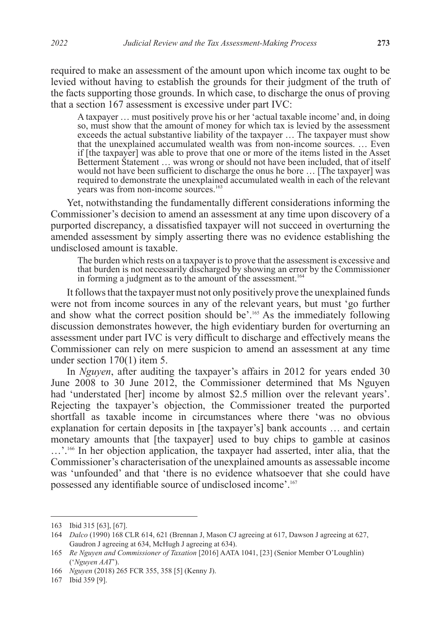required to make an assessment of the amount upon which income tax ought to be levied without having to establish the grounds for their judgment of the truth of the facts supporting those grounds. In which case, to discharge the onus of proving that a section 167 assessment is excessive under part IVC:

A taxpayer … must positively prove his or her 'actual taxable income' and, in doing so, must show that the amount of money for which tax is levied by the assessment exceeds the actual substantive liability of the taxpayer … The taxpayer must show that the unexplained accumulated wealth was from non-income sources. … Even if [the taxpayer] was able to prove that one or more of the items listed in the Asset Betterment Statement … was wrong or should not have been included, that of itself would not have been sufficient to discharge the onus he bore … [The taxpayer] was required to demonstrate the unexplained accumulated wealth in each of the relevant years was from non-income sources.<sup>163</sup>

Yet, notwithstanding the fundamentally different considerations informing the Commissioner's decision to amend an assessment at any time upon discovery of a purported discrepancy, a dissatisfied taxpayer will not succeed in overturning the amended assessment by simply asserting there was no evidence establishing the undisclosed amount is taxable.

The burden which rests on a taxpayer is to prove that the assessment is excessive and that burden is not necessarily discharged by showing an error by the Commissioner in forming a judgment as to the amount of the assessment.<sup>164</sup>

It follows that the taxpayer must not only positively prove the unexplained funds were not from income sources in any of the relevant years, but must 'go further and show what the correct position should be'.<sup>165</sup> As the immediately following discussion demonstrates however, the high evidentiary burden for overturning an assessment under part IVC is very difficult to discharge and effectively means the Commissioner can rely on mere suspicion to amend an assessment at any time under section 170(1) item 5.

In *Nguyen*, after auditing the taxpayer's affairs in 2012 for years ended 30 June 2008 to 30 June 2012, the Commissioner determined that Ms Nguyen had 'understated [her] income by almost \$2.5 million over the relevant years'. Rejecting the taxpayer's objection, the Commissioner treated the purported shortfall as taxable income in circumstances where there 'was no obvious explanation for certain deposits in [the taxpayer's] bank accounts … and certain monetary amounts that [the taxpayer] used to buy chips to gamble at casinos ...'.<sup>166</sup> In her objection application, the taxpayer had asserted, inter alia, that the Commissioner's characterisation of the unexplained amounts as assessable income was 'unfounded' and that 'there is no evidence whatsoever that she could have possessed any identifiable source of undisclosed income'.<sup>167</sup>

<sup>163</sup> Ibid 315 [63], [67].

<sup>164</sup> *Dalco* (1990) 168 CLR 614, 621 (Brennan J, Mason CJ agreeing at 617, Dawson J agreeing at 627, Gaudron J agreeing at 634, McHugh J agreeing at 634).

<sup>165</sup> *Re Nguyen and Commissioner of Taxation* [2016] AATA 1041, [23] (Senior Member O'Loughlin) ('*Nguyen AAT*').

<sup>166</sup> *Nguyen* (2018) 265 FCR 355, 358 [5] (Kenny J).

<sup>167</sup> Ibid 359 [9].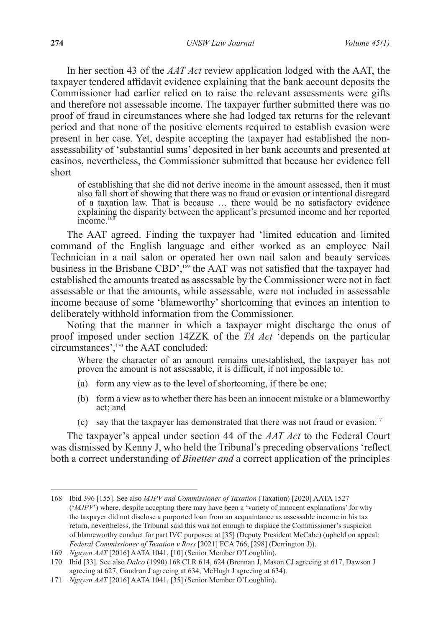In her section 43 of the *AAT Act* review application lodged with the AAT, the taxpayer tendered affidavit evidence explaining that the bank account deposits the Commissioner had earlier relied on to raise the relevant assessments were gifts and therefore not assessable income. The taxpayer further submitted there was no proof of fraud in circumstances where she had lodged tax returns for the relevant period and that none of the positive elements required to establish evasion were present in her case. Yet, despite accepting the taxpayer had established the nonassessability of 'substantial sums' deposited in her bank accounts and presented at casinos, nevertheless, the Commissioner submitted that because her evidence fell short

of establishing that she did not derive income in the amount assessed, then it must also fall short of showing that there was no fraud or evasion or intentional disregard of a taxation law. That is because … there would be no satisfactory evidence explaining the disparity between the applicant's presumed income and her reported income. $168$ 

The AAT agreed. Finding the taxpayer had 'limited education and limited command of the English language and either worked as an employee Nail Technician in a nail salon or operated her own nail salon and beauty services business in the Brisbane CBD',<sup>169</sup> the AAT was not satisfied that the taxpayer had established the amounts treated as assessable by the Commissioner were not in fact assessable or that the amounts, while assessable, were not included in assessable income because of some 'blameworthy' shortcoming that evinces an intention to deliberately withhold information from the Commissioner.

Noting that the manner in which a taxpayer might discharge the onus of proof imposed under section 14ZZK of the *TA Act* 'depends on the particular circumstances',170 the AAT concluded:

Where the character of an amount remains unestablished, the taxpayer has not proven the amount is not assessable, it is difficult, if not impossible to:

- (a) form any view as to the level of shortcoming, if there be one;
- (b) form a view as to whether there has been an innocent mistake or a blameworthy act; and
- (c) say that the taxpayer has demonstrated that there was not fraud or evasion.<sup>171</sup>

The taxpayer's appeal under section 44 of the *AAT Act* to the Federal Court was dismissed by Kenny J, who held the Tribunal's preceding observations 'reflect both a correct understanding of *Binetter and* a correct application of the principles

<sup>168</sup> Ibid 396 [155]. See also *MJPV and Commissioner of Taxation* (Taxation) [2020] AATA 1527 ('*MJPV*') where, despite accepting there may have been a 'variety of innocent explanations' for why the taxpayer did not disclose a purported loan from an acquaintance as assessable income in his tax return, nevertheless, the Tribunal said this was not enough to displace the Commissioner's suspicion of blameworthy conduct for part IVC purposes: at [35] (Deputy President McCabe) (upheld on appeal: *Federal Commissioner of Taxation v Ross* [2021] FCA 766, [298] (Derrington J)).

<sup>169</sup> *Nguyen AAT* [2016] AATA 1041, [10] (Senior Member O'Loughlin).

<sup>170</sup> Ibid [33]. See also *Dalco* (1990) 168 CLR 614, 624 (Brennan J, Mason CJ agreeing at 617, Dawson J agreeing at 627, Gaudron J agreeing at 634, McHugh J agreeing at 634).

<sup>171</sup> *Nguyen AAT* [2016] AATA 1041, [35] (Senior Member O'Loughlin).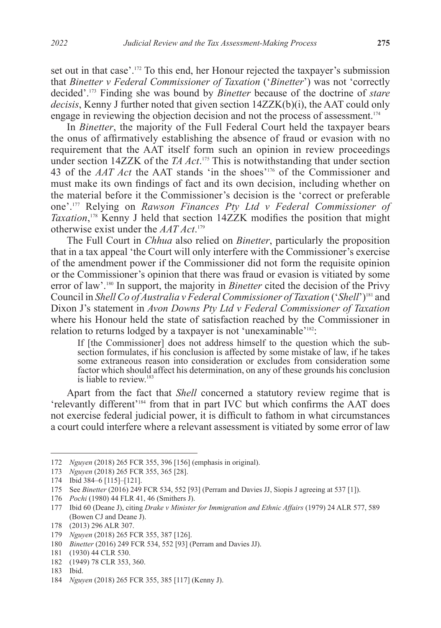set out in that case'.172 To this end, her Honour rejected the taxpayer's submission that *Binetter v Federal Commissioner of Taxation* ('*Binetter*') was not 'correctly decided'.173 Finding she was bound by *Binetter* because of the doctrine of *stare decisis*, Kenny J further noted that given section 14ZZK(b)(i), the AAT could only engage in reviewing the objection decision and not the process of assessment.174

In *Binetter*, the majority of the Full Federal Court held the taxpayer bears the onus of affirmatively establishing the absence of fraud or evasion with no requirement that the AAT itself form such an opinion in review proceedings under section 14ZZK of the *TA Act*. 175 This is notwithstanding that under section 43 of the *AAT Act* the AAT stands 'in the shoes'176 of the Commissioner and must make its own findings of fact and its own decision, including whether on the material before it the Commissioner's decision is the 'correct or preferable one'.177 Relying on *Rawson Finances Pty Ltd v Federal Commissioner of Taxation*, <sup>178</sup> Kenny J held that section 14ZZK modifies the position that might otherwise exist under the *AAT Act*. 179

The Full Court in *Chhua* also relied on *Binetter*, particularly the proposition that in a tax appeal 'the Court will only interfere with the Commissioner's exercise of the amendment power if the Commissioner did not form the requisite opinion or the Commissioner's opinion that there was fraud or evasion is vitiated by some error of law'.180 In support, the majority in *Binetter* cited the decision of the Privy Council in *Shell Co of Australia v Federal Commissioner of Taxation* ('*Shell*')181 and Dixon J's statement in *Avon Downs Pty Ltd v Federal Commissioner of Taxation* where his Honour held the state of satisfaction reached by the Commissioner in relation to returns lodged by a taxpayer is not 'unexaminable'<sup>182</sup>:

If [the Commissioner] does not address himself to the question which the subsection formulates, if his conclusion is affected by some mistake of law, if he takes some extraneous reason into consideration or excludes from consideration some factor which should affect his determination, on any of these grounds his conclusion is liable to review.<sup>183</sup>

Apart from the fact that *Shell* concerned a statutory review regime that is 'relevantly different'184 from that in part IVC but which confirms the AAT does not exercise federal judicial power, it is difficult to fathom in what circumstances a court could interfere where a relevant assessment is vitiated by some error of law

<sup>172</sup> *Nguyen* (2018) 265 FCR 355, 396 [156] (emphasis in original).

<sup>173</sup> *Nguyen* (2018) 265 FCR 355, 365 [28].

<sup>174</sup> Ibid 384–6 [115]–[121].

<sup>175</sup> See *Binetter* (2016) 249 FCR 534, 552 [93] (Perram and Davies JJ, Siopis J agreeing at 537 [1]).

<sup>176</sup> *Pochi* (1980) 44 FLR 41, 46 (Smithers J).

<sup>177</sup> Ibid 60 (Deane J), citing *Drake v Minister for Immigration and Ethnic Affairs* (1979) 24 ALR 577, 589 (Bowen CJ and Deane J).

<sup>178</sup> (2013) 296 ALR 307.

<sup>179</sup> *Nguyen* (2018) 265 FCR 355, 387 [126].

<sup>180</sup> *Binetter* (2016) 249 FCR 534, 552 [93] (Perram and Davies JJ).

<sup>181</sup> (1930) 44 CLR 530.

<sup>182</sup> (1949) 78 CLR 353, 360.

<sup>183</sup> Ibid.

<sup>184</sup> *Nguyen* (2018) 265 FCR 355, 385 [117] (Kenny J).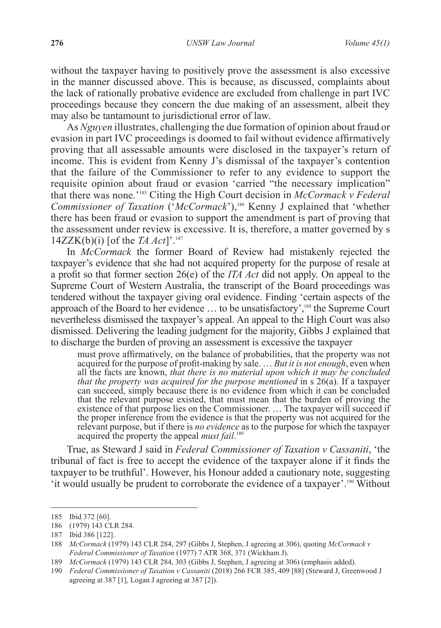without the taxpayer having to positively prove the assessment is also excessive in the manner discussed above. This is because, as discussed, complaints about the lack of rationally probative evidence are excluded from challenge in part IVC proceedings because they concern the due making of an assessment, albeit they may also be tantamount to jurisdictional error of law.

As *Nguyen* illustrates, challenging the due formation of opinion about fraud or evasion in part IVC proceedings is doomed to fail without evidence affirmatively proving that all assessable amounts were disclosed in the taxpayer's return of income. This is evident from Kenny J's dismissal of the taxpayer's contention that the failure of the Commissioner to refer to any evidence to support the requisite opinion about fraud or evasion 'carried "the necessary implication" that there was none.'185 Citing the High Court decision in *McCormack v Federal Commissioner of Taxation* ('*McCormack*'),186 Kenny J explained that 'whether there has been fraud or evasion to support the amendment is part of proving that the assessment under review is excessive. It is, therefore, a matter governed by s 14ZZK(b)(i) [of the *TA Act*]'.187

In *McCormack* the former Board of Review had mistakenly rejected the taxpayer's evidence that she had not acquired property for the purpose of resale at a profit so that former section 26(e) of the *ITA Act* did not apply. On appeal to the Supreme Court of Western Australia, the transcript of the Board proceedings was tendered without the taxpayer giving oral evidence. Finding 'certain aspects of the approach of the Board to her evidence … to be unsatisfactory',188 the Supreme Court nevertheless dismissed the taxpayer's appeal. An appeal to the High Court was also dismissed. Delivering the leading judgment for the majority, Gibbs J explained that to discharge the burden of proving an assessment is excessive the taxpayer

must prove affirmatively, on the balance of probabilities, that the property was not acquired for the purpose of profit-making by sale. … *But it is not enough*, even when all the facts are known, *that there is no material upon which it may be concluded that the property was acquired for the purpose mentioned* in s 26(a). If a taxpayer can succeed, simply because there is no evidence from which it can be concluded that the relevant purpose existed, that must mean that the burden of proving the existence of that purpose lies on the Commissioner. … The taxpayer will succeed if the proper inference from the evidence is that the property was not acquired for the relevant purpose, but if there is *no evidence* as to the purpose for which the taxpayer acquired the property the appeal *must fail*. 189

True, as Steward J said in *Federal Commissioner of Taxation v Cassaniti*, 'the tribunal of fact is free to accept the evidence of the taxpayer alone if it finds the taxpayer to be truthful'. However, his Honour added a cautionary note, suggesting 'it would usually be prudent to corroborate the evidence of a taxpayer'.190 Without

<sup>185</sup> Ibid 372 [60].

<sup>186</sup> (1979) 143 CLR 284.

<sup>187</sup> Ibid 386 [122].

<sup>188</sup> *McCormack* (1979) 143 CLR 284, 297 (Gibbs J, Stephen, J agreeing at 306), quoting *McCormack v Federal Commissioner of Taxation* (1977) 7 ATR 368, 371 (Wickham J).

<sup>189</sup> *McCormack* (1979) 143 CLR 284, 303 (Gibbs J, Stephen, J agreeing at 306) (emphasis added).

<sup>190</sup> *Federal Commissioner of Taxation v Cassaniti* (2018) 266 FCR 385, 409 [88] (Steward J, Greenwood J agreeing at 387 [1], Logan J agreeing at 387 [2]).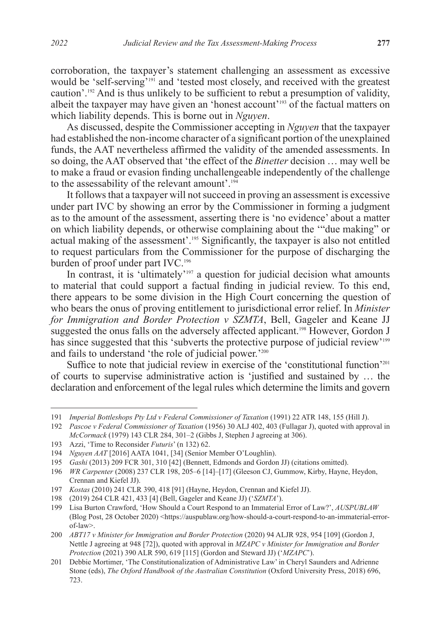corroboration, the taxpayer's statement challenging an assessment as excessive would be 'self-serving'<sup>191</sup> and 'tested most closely, and received with the greatest caution'.192 And is thus unlikely to be sufficient to rebut a presumption of validity, albeit the taxpayer may have given an 'honest account'193 of the factual matters on which liability depends. This is borne out in *Nguyen*.

As discussed, despite the Commissioner accepting in *Nguyen* that the taxpayer had established the non-income character of a significant portion of the unexplained funds, the AAT nevertheless affirmed the validity of the amended assessments. In so doing, the AAT observed that 'the effect of the *Binetter* decision … may well be to make a fraud or evasion finding unchallengeable independently of the challenge to the assessability of the relevant amount'.<sup>194</sup>

It follows that a taxpayer will not succeed in proving an assessment is excessive under part IVC by showing an error by the Commissioner in forming a judgment as to the amount of the assessment, asserting there is 'no evidence' about a matter on which liability depends, or otherwise complaining about the '"due making" or actual making of the assessment'.195 Significantly, the taxpayer is also not entitled to request particulars from the Commissioner for the purpose of discharging the burden of proof under part IVC.<sup>196</sup>

In contrast, it is 'ultimately'<sup>197</sup> a question for judicial decision what amounts to material that could support a factual finding in judicial review. To this end, there appears to be some division in the High Court concerning the question of who bears the onus of proving entitlement to jurisdictional error relief. In *Minister for Immigration and Border Protection v SZMTA*, Bell, Gageler and Keane JJ suggested the onus falls on the adversely affected applicant.<sup>198</sup> However, Gordon J has since suggested that this 'subverts the protective purpose of judicial review'<sup>199</sup> and fails to understand 'the role of judicial power.'200

Suffice to note that judicial review in exercise of the 'constitutional function'<sup>201</sup> of courts to supervise administrative action is 'justified and sustained by … the declaration and enforcement of the legal rules which determine the limits and govern

<sup>191</sup> *Imperial Bottleshops Pty Ltd v Federal Commissioner of Taxation* (1991) 22 ATR 148, 155 (Hill J).

<sup>192</sup> *Pascoe v Federal Commissioner of Taxation* (1956) 30 ALJ 402, 403 (Fullagar J), quoted with approval in *McCormack* (1979) 143 CLR 284, 301–2 (Gibbs J, Stephen J agreeing at 306).

<sup>193</sup> Azzi, 'Time to Reconsider *Futuris*' (n 132) 62.

<sup>194</sup> *Nguyen AAT* [2016] AATA 1041, [34] (Senior Member O'Loughlin).

<sup>195</sup> *Gashi* (2013) 209 FCR 301, 310 [42] (Bennett, Edmonds and Gordon JJ) (citations omitted).

<sup>196</sup> *WR Carpenter* (2008) 237 CLR 198, 205–6 [14]–[17] (Gleeson CJ, Gummow, Kirby, Hayne, Heydon, Crennan and Kiefel JJ).

<sup>197</sup> *Kostas* (2010) 241 CLR 390, 418 [91] (Hayne, Heydon, Crennan and Kiefel JJ).

<sup>198</sup> (2019) 264 CLR 421, 433 [4] (Bell, Gageler and Keane JJ) ('*SZMTA*').

<sup>199</sup> Lisa Burton Crawford, 'How Should a Court Respond to an Immaterial Error of Law?', *AUSPUBLAW* (Blog Post, 28 October 2020) <https://auspublaw.org/how-should-a-court-respond-to-an-immaterial-errorof-law>.

<sup>200</sup> *ABT17 v Minister for Immigration and Border Protection* (2020) 94 ALJR 928, 954 [109] (Gordon J, Nettle J agreeing at 948 [72]), quoted with approval in *MZAPC v Minister for Immigration and Border Protection* (2021) 390 ALR 590, 619 [115] (Gordon and Steward JJ) ('*MZAPC*').

<sup>201</sup> Debbie Mortimer, 'The Constitutionalization of Administrative Law' in Cheryl Saunders and Adrienne Stone (eds), *The Oxford Handbook of the Australian Constitution* (Oxford University Press, 2018) 696, 723.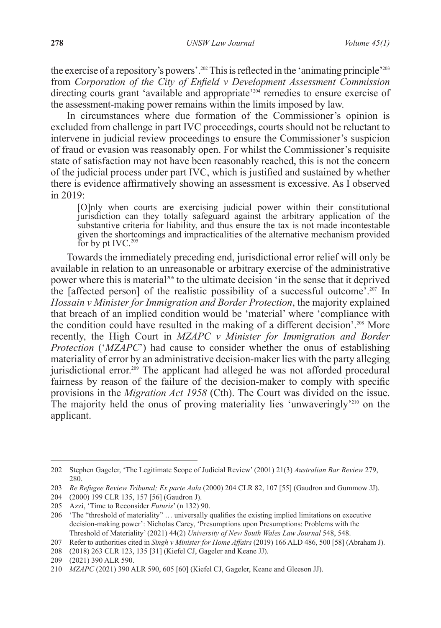the exercise of a repository's powers'.<sup>202</sup> This is reflected in the 'animating principle'<sup>203</sup> from *Corporation of the City of Enfield v Development Assessment Commission*  directing courts grant 'available and appropriate'204 remedies to ensure exercise of the assessment-making power remains within the limits imposed by law.

In circumstances where due formation of the Commissioner's opinion is excluded from challenge in part IVC proceedings, courts should not be reluctant to intervene in judicial review proceedings to ensure the Commissioner's suspicion of fraud or evasion was reasonably open. For whilst the Commissioner's requisite state of satisfaction may not have been reasonably reached, this is not the concern of the judicial process under part IVC, which is justified and sustained by whether there is evidence affirmatively showing an assessment is excessive. As I observed in 2019:

[O]nly when courts are exercising judicial power within their constitutional jurisdiction can they totally safeguard against the arbitrary application of the substantive criteria for liability, and thus ensure the tax is not made incontestable given the shortcomings and impracticalities of the alternative mechanism provided For by pt IVC. $205$ 

Towards the immediately preceding end, jurisdictional error relief will only be available in relation to an unreasonable or arbitrary exercise of the administrative power where this is material<sup>206</sup> to the ultimate decision 'in the sense that it deprived the [affected person] of the realistic possibility of a successful outcome<sup>2</sup>.<sup>207</sup> In *Hossain v Minister for Immigration and Border Protection*, the majority explained that breach of an implied condition would be 'material' where 'compliance with the condition could have resulted in the making of a different decision'.208 More recently, the High Court in *MZAPC v Minister for Immigration and Border Protection* ('*MZAPC*') had cause to consider whether the onus of establishing materiality of error by an administrative decision-maker lies with the party alleging jurisdictional error.<sup>209</sup> The applicant had alleged he was not afforded procedural fairness by reason of the failure of the decision-maker to comply with specific provisions in the *Migration Act 1958* (Cth). The Court was divided on the issue. The majority held the onus of proving materiality lies 'unwaveringly'210 on the applicant.

<sup>202</sup> Stephen Gageler, 'The Legitimate Scope of Judicial Review' (2001) 21(3) *Australian Bar Review* 279, 280.

<sup>203</sup> *Re Refugee Review Tribunal; Ex parte Aala* (2000) 204 CLR 82, 107 [55] (Gaudron and Gummow JJ).

<sup>204</sup> (2000) 199 CLR 135, 157 [56] (Gaudron J).

<sup>205</sup> Azzi, 'Time to Reconsider *Futuris*' (n 132) 90.

<sup>206</sup> 'The "threshold of materiality" … universally qualifies the existing implied limitations on executive decision-making power': Nicholas Carey, 'Presumptions upon Presumptions: Problems with the Threshold of Materiality' (2021) 44(2) *University of New South Wales Law Journal* 548, 548.

<sup>207</sup> Refer to authorities cited in *Singh v Minister for Home Affairs* (2019) 166 ALD 486, 500 [58] (Abraham J).

<sup>208</sup> (2018) 263 CLR 123, 135 [31] (Kiefel CJ, Gageler and Keane JJ).

<sup>209</sup> (2021) 390 ALR 590.

<sup>210</sup> *MZAPC* (2021) 390 ALR 590, 605 [60] (Kiefel CJ, Gageler, Keane and Gleeson JJ).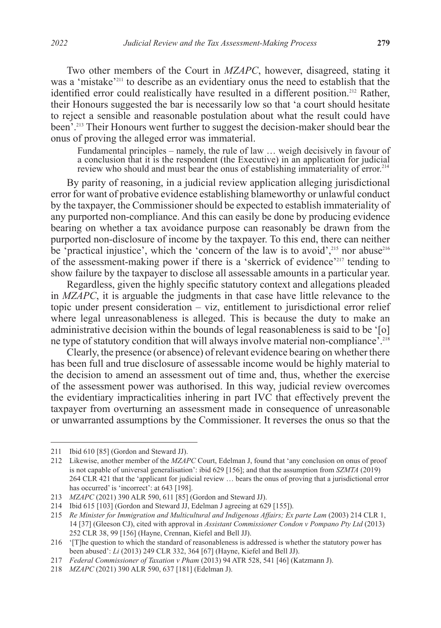Two other members of the Court in *MZAPC*, however, disagreed, stating it was a 'mistake'211 to describe as an evidentiary onus the need to establish that the identified error could realistically have resulted in a different position.<sup>212</sup> Rather, their Honours suggested the bar is necessarily low so that 'a court should hesitate to reject a sensible and reasonable postulation about what the result could have been'.213 Their Honours went further to suggest the decision-maker should bear the onus of proving the alleged error was immaterial.

Fundamental principles – namely, the rule of law … weigh decisively in favour of a conclusion that it is the respondent (the Executive) in an application for judicial review who should and must bear the onus of establishing immateriality of error.<sup>214</sup>

By parity of reasoning, in a judicial review application alleging jurisdictional error for want of probative evidence establishing blameworthy or unlawful conduct by the taxpayer, the Commissioner should be expected to establish immateriality of any purported non-compliance. And this can easily be done by producing evidence bearing on whether a tax avoidance purpose can reasonably be drawn from the purported non-disclosure of income by the taxpayer. To this end, there can neither be 'practical injustice', which the 'concern of the law is to avoid', $215$  nor abuse $216$ of the assessment-making power if there is a 'skerrick of evidence'217 tending to show failure by the taxpayer to disclose all assessable amounts in a particular year.

Regardless, given the highly specific statutory context and allegations pleaded in *MZAPC*, it is arguable the judgments in that case have little relevance to the topic under present consideration – viz, entitlement to jurisdictional error relief where legal unreasonableness is alleged. This is because the duty to make an administrative decision within the bounds of legal reasonableness is said to be '[o] ne type of statutory condition that will always involve material non-compliance'.<sup>218</sup>

Clearly, the presence (or absence) of relevant evidence bearing on whether there has been full and true disclosure of assessable income would be highly material to the decision to amend an assessment out of time and, thus, whether the exercise of the assessment power was authorised. In this way, judicial review overcomes the evidentiary impracticalities inhering in part IVC that effectively prevent the taxpayer from overturning an assessment made in consequence of unreasonable or unwarranted assumptions by the Commissioner. It reverses the onus so that the

<sup>211</sup> Ibid 610 [85] (Gordon and Steward JJ).

<sup>212</sup> Likewise, another member of the *MZAPC* Court, Edelman J, found that 'any conclusion on onus of proof is not capable of universal generalisation': ibid 629 [156]; and that the assumption from *SZMTA* (2019) 264 CLR 421 that the 'applicant for judicial review … bears the onus of proving that a jurisdictional error has occurred' is 'incorrect': at 643 [198].

<sup>213</sup> *MZAPC* (2021) 390 ALR 590, 611 [85] (Gordon and Steward JJ).

<sup>214</sup> Ibid 615 [103] (Gordon and Steward JJ, Edelman J agreeing at 629 [155]).

<sup>215</sup> *Re Minister for Immigration and Multicultural and Indigenous Affairs; Ex parte Lam* (2003) 214 CLR 1, 14 [37] (Gleeson CJ), cited with approval in *Assistant Commissioner Condon v Pompano Pty Ltd* (2013) 252 CLR 38, 99 [156] (Hayne, Crennan, Kiefel and Bell JJ).

<sup>216</sup> '[T]he question to which the standard of reasonableness is addressed is whether the statutory power has been abused': *Li* (2013) 249 CLR 332, 364 [67] (Hayne, Kiefel and Bell JJ).

<sup>217</sup> *Federal Commissioner of Taxation v Pham* (2013) 94 ATR 528, 541 [46] (Katzmann J).

<sup>218</sup> *MZAPC* (2021) 390 ALR 590, 637 [181] (Edelman J).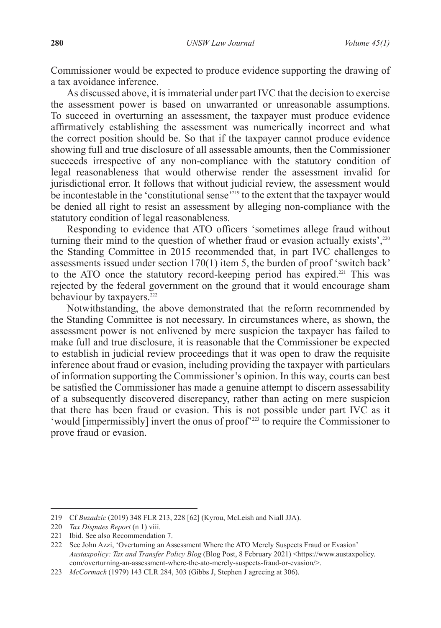Commissioner would be expected to produce evidence supporting the drawing of a tax avoidance inference.

As discussed above, it is immaterial under part IVC that the decision to exercise the assessment power is based on unwarranted or unreasonable assumptions. To succeed in overturning an assessment, the taxpayer must produce evidence affirmatively establishing the assessment was numerically incorrect and what the correct position should be. So that if the taxpayer cannot produce evidence showing full and true disclosure of all assessable amounts, then the Commissioner succeeds irrespective of any non-compliance with the statutory condition of legal reasonableness that would otherwise render the assessment invalid for jurisdictional error. It follows that without judicial review, the assessment would be incontestable in the 'constitutional sense $^{219}$  to the extent that the taxpayer would be denied all right to resist an assessment by alleging non-compliance with the statutory condition of legal reasonableness.

Responding to evidence that ATO officers 'sometimes allege fraud without turning their mind to the question of whether fraud or evasion actually exists',<sup>220</sup> the Standing Committee in 2015 recommended that, in part IVC challenges to assessments issued under section 170(1) item 5, the burden of proof 'switch back' to the ATO once the statutory record-keeping period has expired.<sup>221</sup> This was rejected by the federal government on the ground that it would encourage sham behaviour by taxpayers.<sup>222</sup>

Notwithstanding, the above demonstrated that the reform recommended by the Standing Committee is not necessary. In circumstances where, as shown, the assessment power is not enlivened by mere suspicion the taxpayer has failed to make full and true disclosure, it is reasonable that the Commissioner be expected to establish in judicial review proceedings that it was open to draw the requisite inference about fraud or evasion, including providing the taxpayer with particulars of information supporting the Commissioner's opinion. In this way, courts can best be satisfied the Commissioner has made a genuine attempt to discern assessability of a subsequently discovered discrepancy, rather than acting on mere suspicion that there has been fraud or evasion. This is not possible under part IVC as it 'would [impermissibly] invert the onus of proof<sup>223</sup> to require the Commissioner to prove fraud or evasion.

<sup>219</sup> Cf *Buzadzic* (2019) 348 FLR 213, 228 [62] (Kyrou, McLeish and Niall JJA).

<sup>220</sup> *Tax Disputes Report* (n 1) viii.

<sup>221</sup> Ibid. See also Recommendation 7.

<sup>222</sup> See John Azzi, 'Overturning an Assessment Where the ATO Merely Suspects Fraud or Evasion' *Austaxpolicy: Tax and Transfer Policy Blog* (Blog Post, 8 February 2021) <https://www.austaxpolicy. com/overturning-an-assessment-where-the-ato-merely-suspects-fraud-or-evasion/>.

<sup>223</sup> *McCormack* (1979) 143 CLR 284, 303 (Gibbs J, Stephen J agreeing at 306).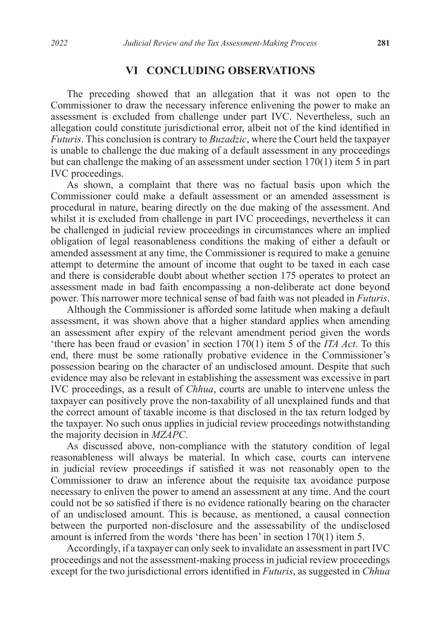#### **VI CONCLUDING OBSERVATIONS**

The preceding showed that an allegation that it was not open to the Commissioner to draw the necessary inference enlivening the power to make an assessment is excluded from challenge under part IVC. Nevertheless, such an allegation could constitute jurisdictional error, albeit not of the kind identified in *Futuris*. This conclusion is contrary to *Buzadzic*, where the Court held the taxpayer is unable to challenge the due making of a default assessment in any proceedings but can challenge the making of an assessment under section 170(1) item 5 in part IVC proceedings.

As shown, a complaint that there was no factual basis upon which the Commissioner could make a default assessment or an amended assessment is procedural in nature, bearing directly on the due making of the assessment. And whilst it is excluded from challenge in part IVC proceedings, nevertheless it can be challenged in judicial review proceedings in circumstances where an implied obligation of legal reasonableness conditions the making of either a default or amended assessment at any time, the Commissioner is required to make a genuine attempt to determine the amount of income that ought to be taxed in each case and there is considerable doubt about whether section 175 operates to protect an assessment made in bad faith encompassing a non-deliberate act done beyond power. This narrower more technical sense of bad faith was not pleaded in *Futuris*.

Although the Commissioner is afforded some latitude when making a default assessment, it was shown above that a higher standard applies when amending an assessment after expiry of the relevant amendment period given the words 'there has been fraud or evasion' in section 170(1) item 5 of the *ITA Act*. To this end, there must be some rationally probative evidence in the Commissioner's possession bearing on the character of an undisclosed amount. Despite that such evidence may also be relevant in establishing the assessment was excessive in part IVC proceedings, as a result of *Chhua*, courts are unable to intervene unless the taxpayer can positively prove the non-taxability of all unexplained funds and that the correct amount of taxable income is that disclosed in the tax return lodged by the taxpayer. No such onus applies in judicial review proceedings notwithstanding the majority decision in *MZAPC*.

As discussed above, non-compliance with the statutory condition of legal reasonableness will always be material. In which case, courts can intervene in judicial review proceedings if satisfied it was not reasonably open to the Commissioner to draw an inference about the requisite tax avoidance purpose necessary to enliven the power to amend an assessment at any time. And the court could not be so satisfied if there is no evidence rationally bearing on the character of an undisclosed amount. This is because, as mentioned, a causal connection between the purported non-disclosure and the assessability of the undisclosed amount is inferred from the words 'there has been' in section 170(1) item 5.

Accordingly, if a taxpayer can only seek to invalidate an assessment in part IVC proceedings and not the assessment-making process in judicial review proceedings except for the two jurisdictional errors identified in *Futuris*, as suggested in *Chhua*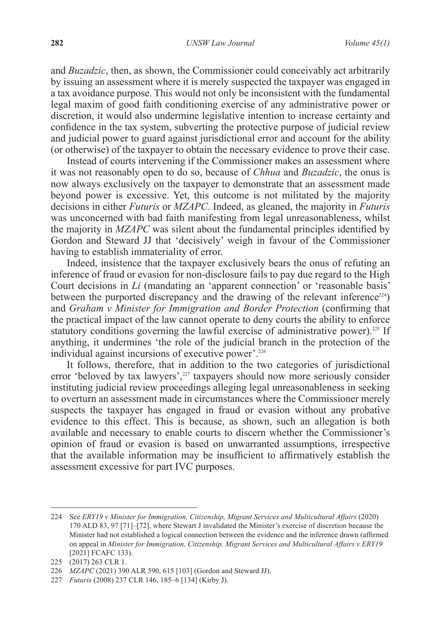and *Buzadzic*, then, as shown, the Commissioner could conceivably act arbitrarily by issuing an assessment where it is merely suspected the taxpayer was engaged in a tax avoidance purpose. This would not only be inconsistent with the fundamental legal maxim of good faith conditioning exercise of any administrative power or discretion, it would also undermine legislative intention to increase certainty and confidence in the tax system, subverting the protective purpose of judicial review and judicial power to guard against jurisdictional error and account for the ability (or otherwise) of the taxpayer to obtain the necessary evidence to prove their case.

Instead of courts intervening if the Commissioner makes an assessment where it was not reasonably open to do so, because of *Chhua* and *Buzadzic*, the onus is now always exclusively on the taxpayer to demonstrate that an assessment made beyond power is excessive. Yet, this outcome is not militated by the majority decisions in either *Futuris* or *MZAPC*. Indeed, as gleaned, the majority in *Futuris*  was unconcerned with bad faith manifesting from legal unreasonableness, whilst the majority in *MZAPC* was silent about the fundamental principles identified by Gordon and Steward JJ that 'decisively' weigh in favour of the Commissioner having to establish immateriality of error.

Indeed, insistence that the taxpayer exclusively bears the onus of refuting an inference of fraud or evasion for non-disclosure fails to pay due regard to the High Court decisions in *Li* (mandating an 'apparent connection' or 'reasonable basis' between the purported discrepancy and the drawing of the relevant inference<sup>224</sup>) and *Graham v Minister for Immigration and Border Protection* (confirming that the practical impact of the law cannot operate to deny courts the ability to enforce statutory conditions governing the lawful exercise of administrative power).<sup>225</sup> If anything, it undermines 'the role of the judicial branch in the protection of the individual against incursions of executive power'.226

It follows, therefore, that in addition to the two categories of jurisdictional error 'beloved by tax lawyers',<sup>227</sup> taxpayers should now more seriously consider instituting judicial review proceedings alleging legal unreasonableness in seeking to overturn an assessment made in circumstances where the Commissioner merely suspects the taxpayer has engaged in fraud or evasion without any probative evidence to this effect. This is because, as shown, such an allegation is both available and necessary to enable courts to discern whether the Commissioner's opinion of fraud or evasion is based on unwarranted assumptions, irrespective that the available information may be insufficient to affirmatively establish the assessment excessive for part IVC purposes.

<sup>224</sup> See *ERY19 v Minister for Immigration, Citizenship, Migrant Services and Multicultural Affairs* (2020) 170 ALD 83, 97 [71]–[72], where Stewart J invalidated the Minister's exercise of discretion because the Minister had not established a logical connection between the evidence and the inference drawn (affirmed on appeal in *Minister for Immigration, Citizenship, Migrant Services and Multicultural Affairs v ERY19* [2021] FCAFC 133).

<sup>225</sup> (2017) 263 CLR 1.

<sup>226</sup> *MZAPC* (2021) 390 ALR 590, 615 [103] (Gordon and Steward JJ).

<sup>227</sup> *Futuris* (2008) 237 CLR 146, 185–6 [134] (Kirby J).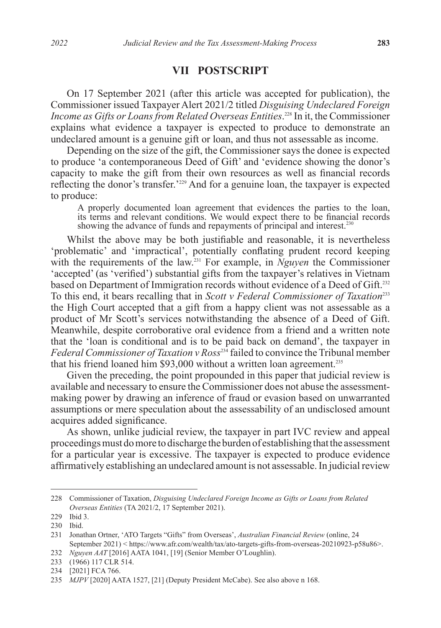#### **VII POSTSCRIPT**

On 17 September 2021 (after this article was accepted for publication), the Commissioner issued Taxpayer Alert 2021/2 titled *Disguising Undeclared Foreign Income as Gifts or Loans from Related Overseas Entities*. 228 In it, the Commissioner explains what evidence a taxpayer is expected to produce to demonstrate an undeclared amount is a genuine gift or loan, and thus not assessable as income.

Depending on the size of the gift, the Commissioner says the donee is expected to produce 'a contemporaneous Deed of Gift' and 'evidence showing the donor's capacity to make the gift from their own resources as well as financial records reflecting the donor's transfer.'229 And for a genuine loan, the taxpayer is expected to produce:

A properly documented loan agreement that evidences the parties to the loan, its terms and relevant conditions. We would expect there to be financial records showing the advance of funds and repayments of principal and interest.<sup>230</sup>

Whilst the above may be both justifiable and reasonable, it is nevertheless 'problematic' and 'impractical', potentially conflating prudent record keeping with the requirements of the law.231 For example, in *Nguyen* the Commissioner 'accepted' (as 'verified') substantial gifts from the taxpayer's relatives in Vietnam based on Department of Immigration records without evidence of a Deed of Gift.232 To this end, it bears recalling that in *Scott v Federal Commissioner of Taxation*<sup>233</sup> the High Court accepted that a gift from a happy client was not assessable as a product of Mr Scott's services notwithstanding the absence of a Deed of Gift. Meanwhile, despite corroborative oral evidence from a friend and a written note that the 'loan is conditional and is to be paid back on demand', the taxpayer in *Federal Commissioner of Taxation v Ross*234 failed to convince the Tribunal member that his friend loaned him \$93,000 without a written loan agreement.<sup>235</sup>

Given the preceding, the point propounded in this paper that judicial review is available and necessary to ensure the Commissioner does not abuse the assessmentmaking power by drawing an inference of fraud or evasion based on unwarranted assumptions or mere speculation about the assessability of an undisclosed amount acquires added significance.

As shown, unlike judicial review, the taxpayer in part IVC review and appeal proceedings must do more to discharge the burden of establishing that the assessment for a particular year is excessive. The taxpayer is expected to produce evidence affirmatively establishing an undeclared amount is not assessable. In judicial review

<sup>228</sup> Commissioner of Taxation, *Disguising Undeclared Foreign Income as Gifts or Loans from Related Overseas Entities* (TA 2021/2, 17 September 2021).

<sup>229</sup> Ibid 3.

<sup>230</sup> Ibid.

<sup>231</sup> Jonathan Ortner, 'ATO Targets "Gifts" from Overseas', *Australian Financial Review* (online, 24 September 2021) < https://www.afr.com/wealth/tax/ato-targets-gifts-from-overseas-20210923-p58u86>.

<sup>232</sup> *Nguyen AAT* [2016] AATA 1041, [19] (Senior Member O'Loughlin).

<sup>233</sup> (1966) 117 CLR 514.

<sup>234</sup> [2021] FCA 766.

<sup>235</sup> *MJPV* [2020] AATA 1527, [21] (Deputy President McCabe). See also above n 168.